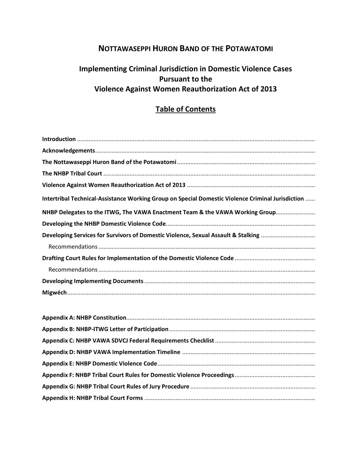## **NOTTAWASEPPI HURON BAND OF THE POTAWATOMI**

# **Implementing Criminal Jurisdiction in Domestic Violence Cases Pursuant to the Violence Against Women Reauthorization Act of 2013**

## **Table of Contents**

| Intertribal Technical-Assistance Working Group on Special Domestic Violence Criminal Jurisdiction |
|---------------------------------------------------------------------------------------------------|
| NHBP Delegates to the ITWG, The VAWA Enactment Team & the VAWA Working Group                      |
|                                                                                                   |
| Developing Services for Survivors of Domestic Violence, Sexual Assault & Stalking                 |
|                                                                                                   |
|                                                                                                   |
|                                                                                                   |
|                                                                                                   |
|                                                                                                   |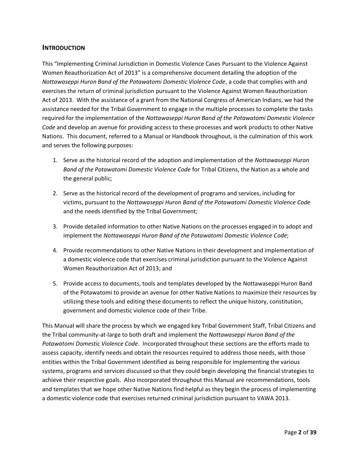#### **INTRODUCTION**

This "Implementing Criminal Jurisdiction in Domestic Violence Cases Pursuant to the Violence Against Women Reauthorization Act of 2013" is a comprehensive document detailing the adoption of the *Nottawaseppi Huron Band of the Potawatomi Domestic Violence Code*, a code that complies with and exercises the return of criminal jurisdiction pursuant to the Violence Against Women Reauthorization Act of 2013. With the assistance of a grant from the National Congress of American Indians, we had the assistance needed for the Tribal Government to engage in the multiple processes to complete the tasks required for the implementation of the *Nottawaseppi Huron Band of the Potawatomi Domestic Violence Code* and develop an avenue for providing access to these processes and work products to other Native Nations. This document, referred to a Manual or Handbook throughout, is the culmination of this work and serves the following purposes:

- 1. Serve as the historical record of the adoption and implementation of the *Nottawaseppi Huron Band of the Potawatomi Domestic Violence Code* for Tribal Citizens, the Nation as a whole and the general public;
- 2. Serve as the historical record of the development of programs and services, including for victims, pursuant to the *Nottawaseppi Huron Band of the Potawatomi Domestic Violence Code* and the needs identified by the Tribal Government;
- 3. Provide detailed information to other Native Nations on the processes engaged in to adopt and implement the *Nottawaseppi Huron Band of the Potawatomi Domestic Violence Code*;
- 4. Provide recommendations to other Native Nations in their development and implementation of a domestic violence code that exercises criminal jurisdiction pursuant to the Violence Against Women Reauthorization Act of 2013; and
- 5. Provide access to documents, tools and templates developed by the Nottawaseppi Huron Band of the Potawatomi to provide an avenue for other Native Nations to maximize their resources by utilizing these tools and editing these documents to reflect the unique history, constitution, government and domestic violence code of their Tribe.

This Manual will share the process by which we engaged key Tribal Government Staff, Tribal Citizens and the Tribal community-at-large to both draft and implement the *Nottawaseppi Huron Band of the Potawatomi Domestic Violence Code*. Incorporated throughout these sections are the efforts made to assess capacity, identify needs and obtain the resources required to address those needs, with those entities within the Tribal Government identified as being responsible for implementing the various systems, programs and services discussed so that they could begin developing the financial strategies to achieve their respective goals. Also incorporated throughout this Manual are recommendations, tools and templates that we hope other Native Nations find helpful as they begin the process of implementing a domestic violence code that exercises returned criminal jurisdiction pursuant to VAWA 2013.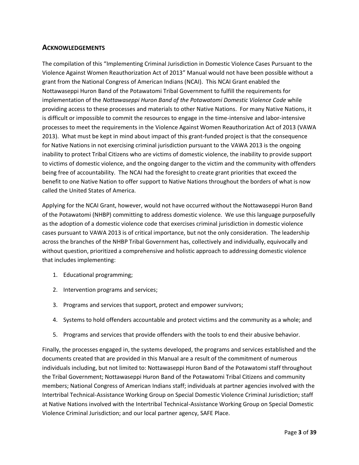### **ACKNOWLEDGEMENTS**

The compilation of this "Implementing Criminal Jurisdiction in Domestic Violence Cases Pursuant to the Violence Against Women Reauthorization Act of 2013" Manual would not have been possible without a grant from the National Congress of American Indians (NCAI). This NCAI Grant enabled the Nottawaseppi Huron Band of the Potawatomi Tribal Government to fulfill the requirements for implementation of the *Nottawaseppi Huron Band of the Potawatomi Domestic Violence Code* while providing access to these processes and materials to other Native Nations. For many Native Nations, it is difficult or impossible to commit the resources to engage in the time-intensive and labor-intensive processes to meet the requirements in the Violence Against Women Reauthorization Act of 2013 (VAWA 2013). What must be kept in mind about impact of this grant-funded project is that the consequence for Native Nations in not exercising criminal jurisdiction pursuant to the VAWA 2013 is the ongoing inability to protect Tribal Citizens who are victims of domestic violence, the inability to provide support to victims of domestic violence, and the ongoing danger to the victim and the community with offenders being free of accountability. The NCAI had the foresight to create grant priorities that exceed the benefit to one Native Nation to offer support to Native Nations throughout the borders of what is now called the United States of America.

Applying for the NCAI Grant, however, would not have occurred without the Nottawaseppi Huron Band of the Potawatomi (NHBP) committing to address domestic violence. We use this language purposefully as the adoption of a domestic violence code that exercises criminal jurisdiction in domestic violence cases pursuant to VAWA 2013 is of critical importance, but not the only consideration. The leadership across the branches of the NHBP Tribal Government has, collectively and individually, equivocally and without question, prioritized a comprehensive and holistic approach to addressing domestic violence that includes implementing:

- 1. Educational programming;
- 2. Intervention programs and services;
- 3. Programs and services that support, protect and empower survivors;
- 4. Systems to hold offenders accountable and protect victims and the community as a whole; and
- 5. Programs and services that provide offenders with the tools to end their abusive behavior.

Finally, the processes engaged in, the systems developed, the programs and services established and the documents created that are provided in this Manual are a result of the commitment of numerous individuals including, but not limited to: Nottawaseppi Huron Band of the Potawatomi staff throughout the Tribal Government; Nottawaseppi Huron Band of the Potawatomi Tribal Citizens and community members; National Congress of American Indians staff; individuals at partner agencies involved with the Intertribal Technical-Assistance Working Group on Special Domestic Violence Criminal Jurisdiction; staff at Native Nations involved with the Intertribal Technical-Assistance Working Group on Special Domestic Violence Criminal Jurisdiction; and our local partner agency, SAFE Place.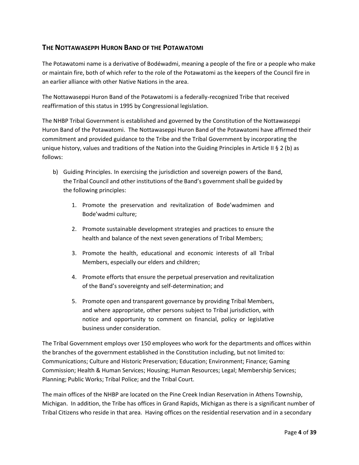### **THE NOTTAWASEPPI HURON BAND OF THE POTAWATOMI**

The Potawatomi name is a derivative of Bodéwadmi, meaning a people of the fire or a people who make or maintain fire, both of which refer to the role of the Potawatomi as the keepers of the Council fire in an earlier alliance with other Native Nations in the area.

The Nottawaseppi Huron Band of the Potawatomi is a federally-recognized Tribe that received reaffirmation of this status in 1995 by Congressional legislation.

The NHBP Tribal Government is established and governed by the Constitution of the Nottawaseppi Huron Band of the Potawatomi. The Nottawaseppi Huron Band of the Potawatomi have affirmed their commitment and provided guidance to the Tribe and the Tribal Government by incorporating the unique history, values and traditions of the Nation into the Guiding Principles in Article II § 2 (b) as follows:

- b) Guiding Principles. In exercising the jurisdiction and sovereign powers of the Band, the Tribal Council and other institutions of the Band's government shall be guided by the following principles:
	- 1. Promote the preservation and revitalization of Bode'wadmimen and Bode'wadmi culture;
	- 2. Promote sustainable development strategies and practices to ensure the health and balance of the next seven generations of Tribal Members;
	- 3. Promote the health, educational and economic interests of all Tribal Members, especially our elders and children;
	- 4. Promote efforts that ensure the perpetual preservation and revitalization of the Band's sovereignty and self-determination; and
	- 5. Promote open and transparent governance by providing Tribal Members, and where appropriate, other persons subject to Tribal jurisdiction, with notice and opportunity to comment on financial, policy or legislative business under consideration.

The Tribal Government employs over 150 employees who work for the departments and offices within the branches of the government established in the Constitution including, but not limited to: Communications; Culture and Historic Preservation; Education; Environment; Finance; Gaming Commission; Health & Human Services; Housing; Human Resources; Legal; Membership Services; Planning; Public Works; Tribal Police; and the Tribal Court.

The main offices of the NHBP are located on the Pine Creek Indian Reservation in Athens Township, Michigan. In addition, the Tribe has offices in Grand Rapids, Michigan as there is a significant number of Tribal Citizens who reside in that area. Having offices on the residential reservation and in a secondary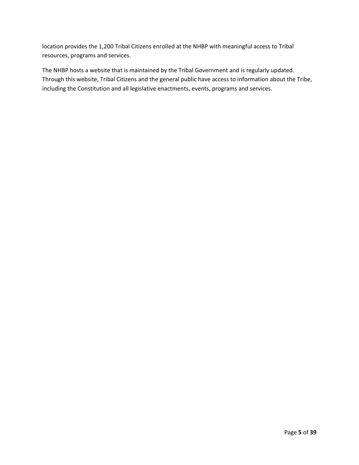location provides the 1,200 Tribal Citizens enrolled at the NHBP with meaningful access to Tribal resources, programs and services.

The NHBP hosts a website that is maintained by the Tribal Government and is regularly updated. Through this website, Tribal Citizens and the general public have access to information about the Tribe, including the Constitution and all legislative enactments, events, programs and services.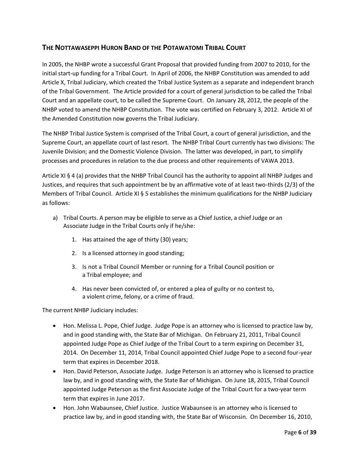### **THE NOTTAWASEPPI HURON BAND OF THE POTAWATOMI TRIBAL COURT**

In 2005, the NHBP wrote a successful Grant Proposal that provided funding from 2007 to 2010, for the initial start-up funding for a Tribal Court. In April of 2006, the NHBP Constitution was amended to add Article X, Tribal Judiciary, which created the Tribal Justice System as a separate and independent branch of the Tribal Government. The Article provided for a court of general jurisdiction to be called the Tribal Court and an appellate court, to be called the Supreme Court. On January 28, 2012, the people of the NHBP voted to amend the NHBP Constitution. The vote was certified on February 3, 2012. Article XI of the Amended Constitution now governs the Tribal Judiciary.

The NHBP Tribal Justice System is comprised of the Tribal Court, a court of general jurisdiction, and the Supreme Court, an appellate court of last resort. The NHBP Tribal Court currently has two divisions: The Juvenile Division; and the Domestic Violence Division. The latter was developed, in part, to simplify processes and procedures in relation to the due process and other requirements of VAWA 2013.

Article XI § 4 (a) provides that the NHBP Tribal Council has the authority to appoint all NHBP Judges and Justices, and requires that such appointment be by an affirmative vote of at least two-thirds (2/3) of the Members of Tribal Council. Article XI § 5 establishes the minimum qualifications for the NHBP Judiciary as follows:

- a) Tribal Courts. A person may be eligible to serve as a Chief Justice, a chief Judge or an Associate Judge in the Tribal Courts only if he/she:
	- 1. Has attained the age of thirty (30) years;
	- 2. Is a licensed attorney in good standing;
	- 3. Is not a Tribal Council Member or running for a Tribal Council position or a Tribal employee; and
	- 4. Has never been convicted of, or entered a plea of guilty or no contest to, a violent crime, felony, or a crime of fraud.

The current NHBP Judiciary includes:

- Hon. Melissa L. Pope, Chief Judge. Judge Pope is an attorney who is licensed to practice law by, and in good standing with, the State Bar of Michigan. On February 21, 2011, Tribal Council appointed Judge Pope as Chief Judge of the Tribal Court to a term expiring on December 31, 2014. On December 11, 2014, Tribal Council appointed Chief Judge Pope to a second four-year term that expires in December 2018.
- Hon. David Peterson, Associate Judge. Judge Peterson is an attorney who is licensed to practice law by, and in good standing with, the State Bar of Michigan. On June 18, 2015, Tribal Council appointed Judge Peterson as the first Associate Judge of the Tribal Court for a two-year term term that expires in June 2017.
- Hon. John Wabaunsee, Chief Justice. Justice Wabaunsee is an attorney who is licensed to practice law by, and in good standing with, the State Bar of Wisconsin. On December 16, 2010,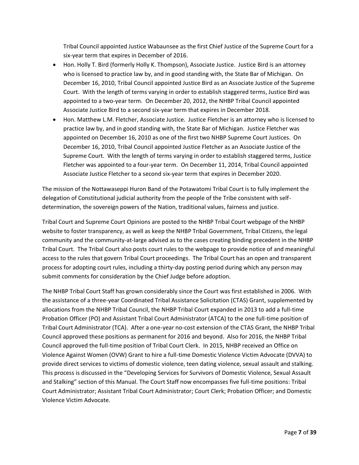Tribal Council appointed Justice Wabaunsee as the first Chief Justice of the Supreme Court for a six-year term that expires in December of 2016.

- Hon. Holly T. Bird (formerly Holly K. Thompson), Associate Justice. Justice Bird is an attorney who is licensed to practice law by, and in good standing with, the State Bar of Michigan. On December 16, 2010, Tribal Council appointed Justice Bird as an Associate Justice of the Supreme Court. With the length of terms varying in order to establish staggered terms, Justice Bird was appointed to a two-year term. On December 20, 2012, the NHBP Tribal Council appointed Associate Justice Bird to a second six-year term that expires in December 2018.
- Hon. Matthew L.M. Fletcher, Associate Justice. Justice Fletcher is an attorney who is licensed to practice law by, and in good standing with, the State Bar of Michigan. Justice Fletcher was appointed on December 16, 2010 as one of the first two NHBP Supreme Court Justices. On December 16, 2010, Tribal Council appointed Justice Fletcher as an Associate Justice of the Supreme Court. With the length of terms varying in order to establish staggered terms, Justice Fletcher was appointed to a four-year term. On December 11, 2014, Tribal Council appointed Associate Justice Fletcher to a second six-year term that expires in December 2020.

The mission of the Nottawaseppi Huron Band of the Potawatomi Tribal Court is to fully implement the delegation of Constitutional judicial authority from the people of the Tribe consistent with selfdetermination, the sovereign powers of the Nation, traditional values, fairness and justice.

Tribal Court and Supreme Court Opinions are posted to the NHBP Tribal Court webpage of the NHBP website to foster transparency, as well as keep the NHBP Tribal Government, Tribal Citizens, the legal community and the community-at-large advised as to the cases creating binding precedent in the NHBP Tribal Court. The Tribal Court also posts court rules to the webpage to provide notice of and meaningful access to the rules that govern Tribal Court proceedings. The Tribal Court has an open and transparent process for adopting court rules, including a thirty-day posting period during which any person may submit comments for consideration by the Chief Judge before adoption.

The NHBP Tribal Court Staff has grown considerably since the Court was first established in 2006. With the assistance of a three-year Coordinated Tribal Assistance Solicitation (CTAS) Grant, supplemented by allocations from the NHBP Tribal Council, the NHBP Tribal Court expanded in 2013 to add a full-time Probation Officer (PO) and Assistant Tribal Court Administrator (ATCA) to the one full-time position of Tribal Court Administrator (TCA). After a one-year no-cost extension of the CTAS Grant, the NHBP Tribal Council approved these positions as permanent for 2016 and beyond. Also for 2016, the NHBP Tribal Council approved the full-time position of Tribal Court Clerk. In 2015, NHBP received an Office on Violence Against Women (OVW) Grant to hire a full-time Domestic Violence Victim Advocate (DVVA) to provide direct services to victims of domestic violence, teen dating violence, sexual assault and stalking. This process is discussed in the "Developing Services for Survivors of Domestic Violence, Sexual Assault and Stalking" section of this Manual. The Court Staff now encompasses five full-time positions: Tribal Court Administrator; Assistant Tribal Court Administrator; Court Clerk; Probation Officer; and Domestic Violence Victim Advocate.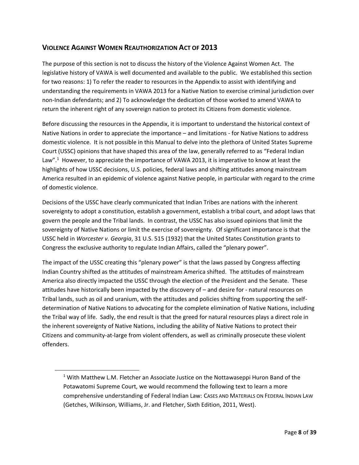### **VIOLENCE AGAINST WOMEN REAUTHORIZATION ACT OF 2013**

The purpose of this section is not to discuss the history of the Violence Against Women Act. The legislative history of VAWA is well documented and available to the public. We established this section for two reasons: 1) To refer the reader to resources in the Appendix to assist with identifying and understanding the requirements in VAWA 2013 for a Native Nation to exercise criminal jurisdiction over non-Indian defendants; and 2) To acknowledge the dedication of those worked to amend VAWA to return the inherent right of any sovereign nation to protect its Citizens from domestic violence.

Before discussing the resources in the Appendix, it is important to understand the historical context of Native Nations in order to appreciate the importance – and limitations - for Native Nations to address domestic violence. It is not possible in this Manual to delve into the plethora of United States Supreme Court (USSC) opinions that have shaped this area of the law, generally referred to as "Federal Indian Law".<sup>1</sup> However, to appreciate the importance of VAWA 2013, it is imperative to know at least the highlights of how USSC decisions, U.S. policies, federal laws and shifting attitudes among mainstream America resulted in an epidemic of violence against Native people, in particular with regard to the crime of domestic violence.

Decisions of the USSC have clearly communicated that Indian Tribes are nations with the inherent sovereignty to adopt a constitution, establish a government, establish a tribal court, and adopt laws that govern the people and the Tribal lands. In contrast, the USSC has also issued opinions that limit the sovereignty of Native Nations or limit the exercise of sovereignty. Of significant importance is that the USSC held in *Worcester v. Georgia*, 31 U.S. 515 (1932) that the United States Constitution grants to Congress the exclusive authority to regulate Indian Affairs, called the "plenary power".

The impact of the USSC creating this "plenary power" is that the laws passed by Congress affecting Indian Country shifted as the attitudes of mainstream America shifted. The attitudes of mainstream America also directly impacted the USSC through the election of the President and the Senate. These attitudes have historically been impacted by the discovery of – and desire for - natural resources on Tribal lands, such as oil and uranium, with the attitudes and policies shifting from supporting the selfdetermination of Native Nations to advocating for the complete elimination of Native Nations, including the Tribal way of life. Sadly, the end result is that the greed for natural resources plays a direct role in the inherent sovereignty of Native Nations, including the ability of Native Nations to protect their Citizens and community-at-large from violent offenders, as well as criminally prosecute these violent offenders.

1

<sup>&</sup>lt;sup>1</sup> With Matthew L.M. Fletcher an Associate Justice on the Nottawaseppi Huron Band of the Potawatomi Supreme Court, we would recommend the following text to learn a more comprehensive understanding of Federal Indian Law: CASES AND MATERIALS ON FEDERAL INDIAN LAW (Getches, Wilkinson, Williams, Jr. and Fletcher, Sixth Edition, 2011, West).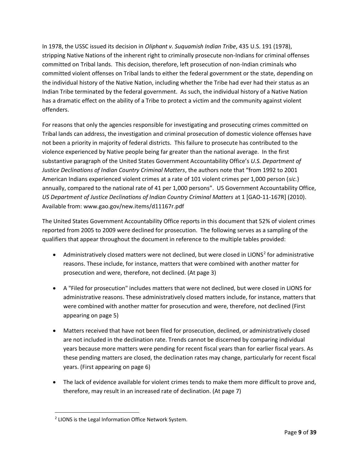In 1978, the USSC issued its decision in *Oliphant v. Suquamish Indian Tribe*, 435 U.S. 191 (1978), stripping Native Nations of the inherent right to criminally prosecute non-Indians for criminal offenses committed on Tribal lands. This decision, therefore, left prosecution of non-Indian criminals who committed violent offenses on Tribal lands to either the federal government or the state, depending on the individual history of the Native Nation, including whether the Tribe had ever had their status as an Indian Tribe terminated by the federal government. As such, the individual history of a Native Nation has a dramatic effect on the ability of a Tribe to protect a victim and the community against violent offenders.

For reasons that only the agencies responsible for investigating and prosecuting crimes committed on Tribal lands can address, the investigation and criminal prosecution of domestic violence offenses have not been a priority in majority of federal districts. This failure to prosecute has contributed to the violence experienced by Native people being far greater than the national average. In the first substantive paragraph of the United States Government Accountability Office's *U.S. Department of Justice Declinations of Indian Country Criminal Matters*, the authors note that "from 1992 to 2001 American Indians experienced violent crimes at a rate of 101 violent crimes per 1,000 person (*sic.*) annually, compared to the national rate of 41 per 1,000 persons". US Government Accountability Office, *US Department of Justice Declinations of Indian Country Criminal Matters* at 1 [GAO‐11‐167R] (2010). Available from: www.gao.gov/new.items/d11167r.pdf

The United States Government Accountability Office reports in this document that 52% of violent crimes reported from 2005 to 2009 were declined for prosecution. The following serves as a sampling of the qualifiers that appear throughout the document in reference to the multiple tables provided:

- Administratively closed matters were not declined, but were closed in LIONS<sup>2</sup> for administrative reasons. These include, for instance, matters that were combined with another matter for prosecution and were, therefore, not declined. (At page 3)
- A "Filed for prosecution" includes matters that were not declined, but were closed in LIONS for administrative reasons. These administratively closed matters include, for instance, matters that were combined with another matter for prosecution and were, therefore, not declined (First appearing on page 5)
- Matters received that have not been filed for prosecution, declined, or administratively closed are not included in the declination rate. Trends cannot be discerned by comparing individual years because more matters were pending for recent fiscal years than for earlier fiscal years. As these pending matters are closed, the declination rates may change, particularly for recent fiscal years. (First appearing on page 6)
- The lack of evidence available for violent crimes tends to make them more difficult to prove and, therefore, may result in an increased rate of declination. (At page 7)

 $\overline{a}$ <sup>2</sup> LIONS is the Legal Information Office Network System.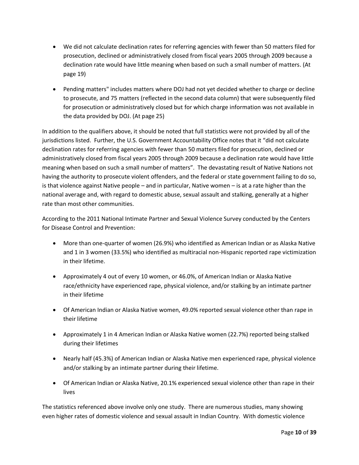- We did not calculate declination rates for referring agencies with fewer than 50 matters filed for prosecution, declined or administratively closed from fiscal years 2005 through 2009 because a declination rate would have little meaning when based on such a small number of matters. (At page 19)
- Pending matters" includes matters where DOJ had not yet decided whether to charge or decline to prosecute, and 75 matters (reflected in the second data column) that were subsequently filed for prosecution or administratively closed but for which charge information was not available in the data provided by DOJ. (At page 25)

In addition to the qualifiers above, it should be noted that full statistics were not provided by all of the jurisdictions listed. Further, the U.S. Government Accountability Office notes that it "did not calculate declination rates for referring agencies with fewer than 50 matters filed for prosecution, declined or administratively closed from fiscal years 2005 through 2009 because a declination rate would have little meaning when based on such a small number of matters". The devastating result of Native Nations not having the authority to prosecute violent offenders, and the federal or state government failing to do so, is that violence against Native people – and in particular, Native women – is at a rate higher than the national average and, with regard to domestic abuse, sexual assault and stalking, generally at a higher rate than most other communities.

According to the 2011 National Intimate Partner and Sexual Violence Survey conducted by the Centers for Disease Control and Prevention:

- More than one-quarter of women (26.9%) who identified as American Indian or as Alaska Native and 1 in 3 women (33.5%) who identified as multiracial non-Hispanic reported rape victimization in their lifetime.
- Approximately 4 out of every 10 women, or 46.0%, of American Indian or Alaska Native race/ethnicity have experienced rape, physical violence, and/or stalking by an intimate partner in their lifetime
- Of American Indian or Alaska Native women, 49.0% reported sexual violence other than rape in their lifetime
- Approximately 1 in 4 American Indian or Alaska Native women (22.7%) reported being stalked during their lifetimes
- Nearly half (45.3%) of American Indian or Alaska Native men experienced rape, physical violence and/or stalking by an intimate partner during their lifetime.
- Of American Indian or Alaska Native, 20.1% experienced sexual violence other than rape in their lives

The statistics referenced above involve only one study. There are numerous studies, many showing even higher rates of domestic violence and sexual assault in Indian Country. With domestic violence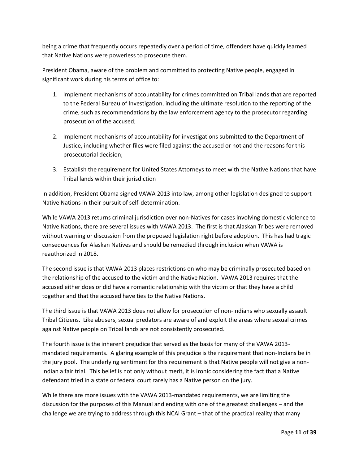being a crime that frequently occurs repeatedly over a period of time, offenders have quickly learned that Native Nations were powerless to prosecute them.

President Obama, aware of the problem and committed to protecting Native people, engaged in significant work during his terms of office to:

- 1. Implement mechanisms of accountability for crimes committed on Tribal lands that are reported to the Federal Bureau of Investigation, including the ultimate resolution to the reporting of the crime, such as recommendations by the law enforcement agency to the prosecutor regarding prosecution of the accused;
- 2. Implement mechanisms of accountability for investigations submitted to the Department of Justice, including whether files were filed against the accused or not and the reasons for this prosecutorial decision;
- 3. Establish the requirement for United States Attorneys to meet with the Native Nations that have Tribal lands within their jurisdiction

In addition, President Obama signed VAWA 2013 into law, among other legislation designed to support Native Nations in their pursuit of self-determination.

While VAWA 2013 returns criminal jurisdiction over non-Natives for cases involving domestic violence to Native Nations, there are several issues with VAWA 2013. The first is that Alaskan Tribes were removed without warning or discussion from the proposed legislation right before adoption. This has had tragic consequences for Alaskan Natives and should be remedied through inclusion when VAWA is reauthorized in 2018.

The second issue is that VAWA 2013 places restrictions on who may be criminally prosecuted based on the relationship of the accused to the victim and the Native Nation. VAWA 2013 requires that the accused either does or did have a romantic relationship with the victim or that they have a child together and that the accused have ties to the Native Nations.

The third issue is that VAWA 2013 does not allow for prosecution of non-Indians who sexually assault Tribal Citizens. Like abusers, sexual predators are aware of and exploit the areas where sexual crimes against Native people on Tribal lands are not consistently prosecuted.

The fourth issue is the inherent prejudice that served as the basis for many of the VAWA 2013 mandated requirements. A glaring example of this prejudice is the requirement that non-Indians be in the jury pool. The underlying sentiment for this requirement is that Native people will not give a non-Indian a fair trial. This belief is not only without merit, it is ironic considering the fact that a Native defendant tried in a state or federal court rarely has a Native person on the jury.

While there are more issues with the VAWA 2013-mandated requirements, we are limiting the discussion for the purposes of this Manual and ending with one of the greatest challenges – and the challenge we are trying to address through this NCAI Grant – that of the practical reality that many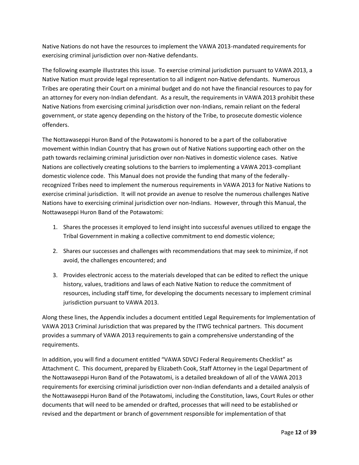Native Nations do not have the resources to implement the VAWA 2013-mandated requirements for exercising criminal jurisdiction over non-Native defendants.

The following example illustrates this issue. To exercise criminal jurisdiction pursuant to VAWA 2013, a Native Nation must provide legal representation to all indigent non-Native defendants. Numerous Tribes are operating their Court on a minimal budget and do not have the financial resources to pay for an attorney for every non-Indian defendant. As a result, the requirements in VAWA 2013 prohibit these Native Nations from exercising criminal jurisdiction over non-Indians, remain reliant on the federal government, or state agency depending on the history of the Tribe, to prosecute domestic violence offenders.

The Nottawaseppi Huron Band of the Potawatomi is honored to be a part of the collaborative movement within Indian Country that has grown out of Native Nations supporting each other on the path towards reclaiming criminal jurisdiction over non-Natives in domestic violence cases. Native Nations are collectively creating solutions to the barriers to implementing a VAWA 2013-compliant domestic violence code. This Manual does not provide the funding that many of the federallyrecognized Tribes need to implement the numerous requirements in VAWA 2013 for Native Nations to exercise criminal jurisdiction. It will not provide an avenue to resolve the numerous challenges Native Nations have to exercising criminal jurisdiction over non-Indians. However, through this Manual, the Nottawaseppi Huron Band of the Potawatomi:

- 1. Shares the processes it employed to lend insight into successful avenues utilized to engage the Tribal Government in making a collective commitment to end domestic violence;
- 2. Shares our successes and challenges with recommendations that may seek to minimize, if not avoid, the challenges encountered; and
- 3. Provides electronic access to the materials developed that can be edited to reflect the unique history, values, traditions and laws of each Native Nation to reduce the commitment of resources, including staff time, for developing the documents necessary to implement criminal jurisdiction pursuant to VAWA 2013.

Along these lines, the Appendix includes a document entitled Legal Requirements for Implementation of VAWA 2013 Criminal Jurisdiction that was prepared by the ITWG technical partners. This document provides a summary of VAWA 2013 requirements to gain a comprehensive understanding of the requirements.

In addition, you will find a document entitled "VAWA SDVCJ Federal Requirements Checklist" as Attachment C. This document, prepared by Elizabeth Cook, Staff Attorney in the Legal Department of the Nottawaseppi Huron Band of the Potawatomi, is a detailed breakdown of all of the VAWA 2013 requirements for exercising criminal jurisdiction over non-Indian defendants and a detailed analysis of the Nottawaseppi Huron Band of the Potawatomi, including the Constitution, laws, Court Rules or other documents that will need to be amended or drafted, processes that will need to be established or revised and the department or branch of government responsible for implementation of that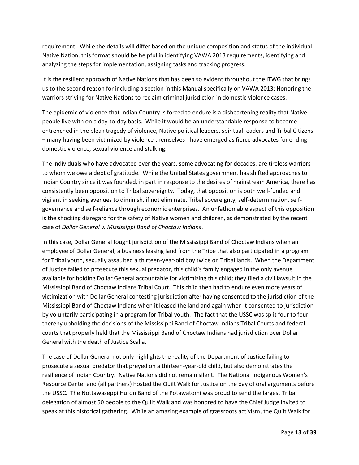requirement. While the details will differ based on the unique composition and status of the individual Native Nation, this format should be helpful in identifying VAWA 2013 requirements, identifying and analyzing the steps for implementation, assigning tasks and tracking progress.

It is the resilient approach of Native Nations that has been so evident throughout the ITWG that brings us to the second reason for including a section in this Manual specifically on VAWA 2013: Honoring the warriors striving for Native Nations to reclaim criminal jurisdiction in domestic violence cases.

The epidemic of violence that Indian Country is forced to endure is a disheartening reality that Native people live with on a day-to-day basis. While it would be an understandable response to become entrenched in the bleak tragedy of violence, Native political leaders, spiritual leaders and Tribal Citizens – many having been victimized by violence themselves - have emerged as fierce advocates for ending domestic violence, sexual violence and stalking.

The individuals who have advocated over the years, some advocating for decades, are tireless warriors to whom we owe a debt of gratitude. While the United States government has shifted approaches to Indian Country since it was founded, in part in response to the desires of mainstream America, there has consistently been opposition to Tribal sovereignty. Today, that opposition is both well-funded and vigilant in seeking avenues to diminish, if not eliminate, Tribal sovereignty, self-determination, selfgovernance and self-reliance through economic enterprises. An unfathomable aspect of this opposition is the shocking disregard for the safety of Native women and children, as demonstrated by the recent case of *Dollar General v. Mississippi Band of Choctaw Indians*.

In this case, Dollar General fought jurisdiction of the Mississippi Band of Choctaw Indians when an employee of Dollar General, a business leasing land from the Tribe that also participated in a program for Tribal youth, sexually assaulted a thirteen-year-old boy twice on Tribal lands. When the Department of Justice failed to prosecute this sexual predator, this child's family engaged in the only avenue available for holding Dollar General accountable for victimizing this child; they filed a civil lawsuit in the Mississippi Band of Choctaw Indians Tribal Court. This child then had to endure even more years of victimization with Dollar General contesting jurisdiction after having consented to the jurisdiction of the Mississippi Band of Choctaw Indians when it leased the land and again when it consented to jurisdiction by voluntarily participating in a program for Tribal youth. The fact that the USSC was split four to four, thereby upholding the decisions of the Mississippi Band of Choctaw Indians Tribal Courts and federal courts that properly held that the Mississippi Band of Choctaw Indians had jurisdiction over Dollar General with the death of Justice Scalia.

The case of Dollar General not only highlights the reality of the Department of Justice failing to prosecute a sexual predator that preyed on a thirteen-year-old child, but also demonstrates the resilience of Indian Country. Native Nations did not remain silent. The National Indigenous Women's Resource Center and (all partners) hosted the Quilt Walk for Justice on the day of oral arguments before the USSC. The Nottawaseppi Huron Band of the Potawatomi was proud to send the largest Tribal delegation of almost 50 people to the Quilt Walk and was honored to have the Chief Judge invited to speak at this historical gathering. While an amazing example of grassroots activism, the Quilt Walk for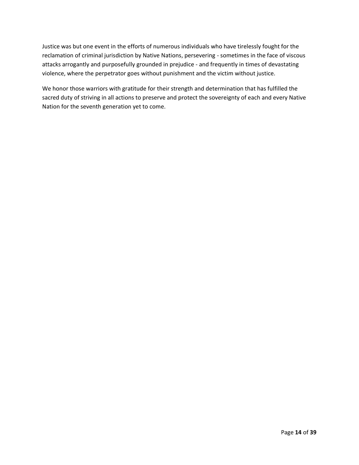Justice was but one event in the efforts of numerous individuals who have tirelessly fought for the reclamation of criminal jurisdiction by Native Nations, persevering - sometimes in the face of viscous attacks arrogantly and purposefully grounded in prejudice - and frequently in times of devastating violence, where the perpetrator goes without punishment and the victim without justice.

We honor those warriors with gratitude for their strength and determination that has fulfilled the sacred duty of striving in all actions to preserve and protect the sovereignty of each and every Native Nation for the seventh generation yet to come.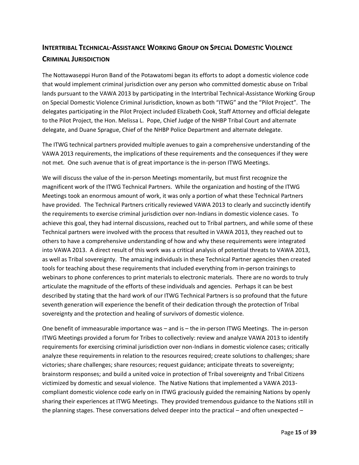# **INTERTRIBAL TECHNICAL-ASSISTANCE WORKING GROUP ON SPECIAL DOMESTIC VIOLENCE CRIMINAL JURISDICTION**

The Nottawaseppi Huron Band of the Potawatomi began its efforts to adopt a domestic violence code that would implement criminal jurisdiction over any person who committed domestic abuse on Tribal lands pursuant to the VAWA 2013 by participating in the Intertribal Technical-Assistance Working Group on Special Domestic Violence Criminal Jurisdiction, known as both "ITWG" and the "Pilot Project". The delegates participating in the Pilot Project included Elizabeth Cook, Staff Attorney and official delegate to the Pilot Project, the Hon. Melissa L. Pope, Chief Judge of the NHBP Tribal Court and alternate delegate, and Duane Sprague, Chief of the NHBP Police Department and alternate delegate.

The ITWG technical partners provided multiple avenues to gain a comprehensive understanding of the VAWA 2013 requirements, the implications of these requirements and the consequences if they were not met. One such avenue that is of great importance is the in-person ITWG Meetings.

We will discuss the value of the in-person Meetings momentarily, but must first recognize the magnificent work of the ITWG Technical Partners. While the organization and hosting of the ITWG Meetings took an enormous amount of work, it was only a portion of what these Technical Partners have provided. The Technical Partners critically reviewed VAWA 2013 to clearly and succinctly identify the requirements to exercise criminal jurisdiction over non-Indians in domestic violence cases. To achieve this goal, they had internal discussions, reached out to Tribal partners, and while some of these Technical partners were involved with the process that resulted in VAWA 2013, they reached out to others to have a comprehensive understanding of how and why these requirements were integrated into VAWA 2013. A direct result of this work was a critical analysis of potential threats to VAWA 2013, as well as Tribal sovereignty. The amazing individuals in these Technical Partner agencies then created tools for teaching about these requirements that included everything from in-person trainings to webinars to phone conferences to print materials to electronic materials. There are no words to truly articulate the magnitude of the efforts of these individuals and agencies. Perhaps it can be best described by stating that the hard work of our ITWG Technical Partners is so profound that the future seventh generation will experience the benefit of their dedication through the protection of Tribal sovereignty and the protection and healing of survivors of domestic violence.

One benefit of immeasurable importance was – and is – the in-person ITWG Meetings. The in-person ITWG Meetings provided a forum for Tribes to collectively: review and analyze VAWA 2013 to identify requirements for exercising criminal jurisdiction over non-Indians in domestic violence cases; critically analyze these requirements in relation to the resources required; create solutions to challenges; share victories; share challenges; share resources; request guidance; anticipate threats to sovereignty; brainstorm responses; and build a united voice in protection of Tribal sovereignty and Tribal Citizens victimized by domestic and sexual violence. The Native Nations that implemented a VAWA 2013 compliant domestic violence code early on in ITWG graciously guided the remaining Nations by openly sharing their experiences at ITWG Meetings. They provided tremendous guidance to the Nations still in the planning stages. These conversations delved deeper into the practical – and often unexpected –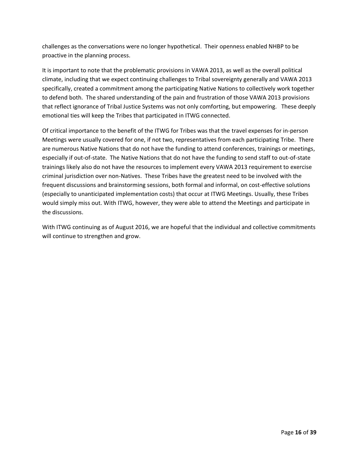challenges as the conversations were no longer hypothetical. Their openness enabled NHBP to be proactive in the planning process.

It is important to note that the problematic provisions in VAWA 2013, as well as the overall political climate, including that we expect continuing challenges to Tribal sovereignty generally and VAWA 2013 specifically, created a commitment among the participating Native Nations to collectively work together to defend both. The shared understanding of the pain and frustration of those VAWA 2013 provisions that reflect ignorance of Tribal Justice Systems was not only comforting, but empowering. These deeply emotional ties will keep the Tribes that participated in ITWG connected.

Of critical importance to the benefit of the ITWG for Tribes was that the travel expenses for in-person Meetings were usually covered for one, if not two, representatives from each participating Tribe. There are numerous Native Nations that do not have the funding to attend conferences, trainings or meetings, especially if out-of-state. The Native Nations that do not have the funding to send staff to out-of-state trainings likely also do not have the resources to implement every VAWA 2013 requirement to exercise criminal jurisdiction over non-Natives. These Tribes have the greatest need to be involved with the frequent discussions and brainstorming sessions, both formal and informal, on cost-effective solutions (especially to unanticipated implementation costs) that occur at ITWG Meetings. Usually, these Tribes would simply miss out. With ITWG, however, they were able to attend the Meetings and participate in the discussions.

With ITWG continuing as of August 2016, we are hopeful that the individual and collective commitments will continue to strengthen and grow.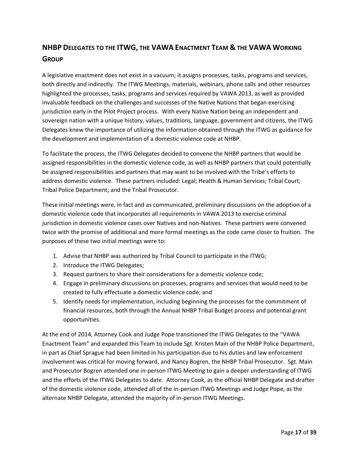# **NHBP DELEGATES TO THE ITWG, THE VAWA ENACTMENT TEAM & THE VAWA WORKING GROUP**

A legislative enactment does not exist in a vacuum; it assigns processes, tasks, programs and services, both directly and indirectly. The ITWG Meetings, materials, webinars, phone calls and other resources highlighted the processes, tasks, programs and services required by VAWA 2013, as well as provided invaluable feedback on the challenges and successes of the Native Nations that began exercising jurisdiction early in the Pilot Project process. With every Native Nation being an independent and sovereign nation with a unique history, values, traditions, language, government and citizens, the ITWG Delegates knew the importance of utilizing the information obtained through the ITWG as guidance for the development and implementation of a domestic violence code at NHBP.

To facilitate the process, the ITWG Delegates decided to convene the NHBP partners that would be assigned responsibilities in the domestic violence code, as well as NHBP partners that could potentially be assigned responsibilities and partners that may want to be involved with the Tribe's efforts to address domestic violence. These partners included: Legal; Health & Human Services; Tribal Court; Tribal Police Department; and the Tribal Prosecutor.

These initial meetings were, in fact and as communicated, preliminary discussions on the adoption of a domestic violence code that incorporates all requirements in VAWA 2013 to exercise criminal jurisdiction in domestic violence cases over Natives and non-Natives. These partners were convened twice with the promise of additional and more formal meetings as the code came closer to fruition. The purposes of these two initial meetings were to:

- 1. Advise that NHBP was authorized by Tribal Council to participate in the ITWG;
- 2. Introduce the ITWG Delegates;
- 3. Request partners to share their considerations for a domestic violence code;
- 4. Engage in preliminary discussions on processes, programs and services that would need to be created to fully effectuate a domestic violence code; and
- 5. Identify needs for implementation, including beginning the processes for the commitment of financial resources, both through the Annual NHBP Tribal Budget process and potential grant opportunities.

At the end of 2014, Attorney Cook and Judge Pope transitioned the ITWG Delegates to the "VAWA Enactment Team" and expanded this Team to include Sgt. Kristen Main of the NHBP Police Department, in part as Chief Sprague had been limited in his participation due to his duties and law enforcement involvement was critical for moving forward, and Nancy Bogren, the NHBP Tribal Prosecutor. Sgt. Main and Prosecutor Bogren attended one in-person ITWG Meeting to gain a deeper understanding of ITWG and the efforts of the ITWG Delegates to date. Attorney Cook, as the official NHBP Delegate and drafter of the domestic violence code, attended all of the in-person ITWG Meetings and Judge Pope, as the alternate NHBP Delegate, attended the majority of in-person ITWG Meetings.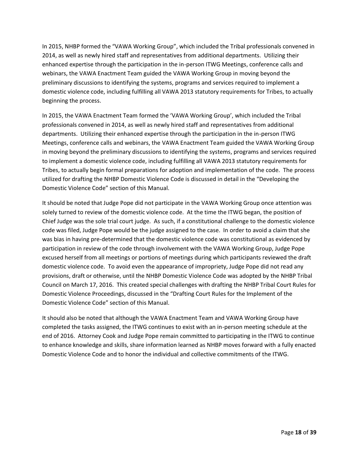In 2015, NHBP formed the "VAWA Working Group", which included the Tribal professionals convened in 2014, as well as newly hired staff and representatives from additional departments. Utilizing their enhanced expertise through the participation in the in-person ITWG Meetings, conference calls and webinars, the VAWA Enactment Team guided the VAWA Working Group in moving beyond the preliminary discussions to identifying the systems, programs and services required to implement a domestic violence code, including fulfilling all VAWA 2013 statutory requirements for Tribes, to actually beginning the process.

In 2015, the VAWA Enactment Team formed the 'VAWA Working Group', which included the Tribal professionals convened in 2014, as well as newly hired staff and representatives from additional departments. Utilizing their enhanced expertise through the participation in the in-person ITWG Meetings, conference calls and webinars, the VAWA Enactment Team guided the VAWA Working Group in moving beyond the preliminary discussions to identifying the systems, programs and services required to implement a domestic violence code, including fulfilling all VAWA 2013 statutory requirements for Tribes, to actually begin formal preparations for adoption and implementation of the code. The process utilized for drafting the NHBP Domestic Violence Code is discussed in detail in the "Developing the Domestic Violence Code" section of this Manual.

It should be noted that Judge Pope did not participate in the VAWA Working Group once attention was solely turned to review of the domestic violence code. At the time the ITWG began, the position of Chief Judge was the sole trial court judge. As such, if a constitutional challenge to the domestic violence code was filed, Judge Pope would be the judge assigned to the case. In order to avoid a claim that she was bias in having pre-determined that the domestic violence code was constitutional as evidenced by participation in review of the code through involvement with the VAWA Working Group, Judge Pope excused herself from all meetings or portions of meetings during which participants reviewed the draft domestic violence code. To avoid even the appearance of impropriety, Judge Pope did not read any provisions, draft or otherwise, until the NHBP Domestic Violence Code was adopted by the NHBP Tribal Council on March 17, 2016. This created special challenges with drafting the NHBP Tribal Court Rules for Domestic Violence Proceedings, discussed in the "Drafting Court Rules for the Implement of the Domestic Violence Code" section of this Manual.

It should also be noted that although the VAWA Enactment Team and VAWA Working Group have completed the tasks assigned, the ITWG continues to exist with an in-person meeting schedule at the end of 2016. Attorney Cook and Judge Pope remain committed to participating in the ITWG to continue to enhance knowledge and skills, share information learned as NHBP moves forward with a fully enacted Domestic Violence Code and to honor the individual and collective commitments of the ITWG.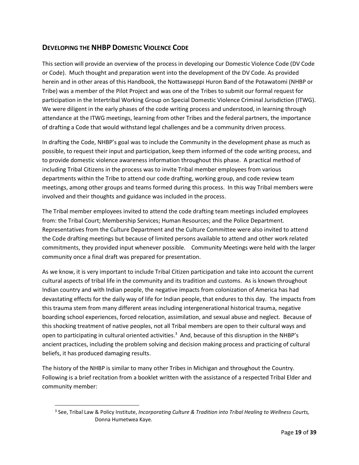### **DEVELOPING THE NHBP DOMESTIC VIOLENCE CODE**

This section will provide an overview of the process in developing our Domestic Violence Code (DV Code or Code). Much thought and preparation went into the development of the DV Code. As provided herein and in other areas of this Handbook, the Nottawaseppi Huron Band of the Potawatomi (NHBP or Tribe) was a member of the Pilot Project and was one of the Tribes to submit our formal request for participation in the Intertribal Working Group on Special Domestic Violence Criminal Jurisdiction (ITWG). We were diligent in the early phases of the code writing process and understood, in learning through attendance at the ITWG meetings, learning from other Tribes and the federal partners, the importance of drafting a Code that would withstand legal challenges and be a community driven process.

In drafting the Code, NHBP's goal was to include the Community in the development phase as much as possible, to request their input and participation, keep them informed of the code writing process, and to provide domestic violence awareness information throughout this phase. A practical method of including Tribal Citizens in the process was to invite Tribal member employees from various departments within the Tribe to attend our code drafting, working group, and code review team meetings, among other groups and teams formed during this process. In this way Tribal members were involved and their thoughts and guidance was included in the process.

The Tribal member employees invited to attend the code drafting team meetings included employees from: the Tribal Court; Membership Services; Human Resources; and the Police Department. Representatives from the Culture Department and the Culture Committee were also invited to attend the Code drafting meetings but because of limited persons available to attend and other work related commitments, they provided input whenever possible. Community Meetings were held with the larger community once a final draft was prepared for presentation.

As we know, it is very important to include Tribal Citizen participation and take into account the current cultural aspects of tribal life in the community and its tradition and customs. As is known throughout Indian country and with Indian people, the negative impacts from colonization of America has had devastating effects for the daily way of life for Indian people, that endures to this day. The impacts from this trauma stem from many different areas including intergenerational historical trauma, negative boarding school experiences, forced relocation, assimilation, and sexual abuse and neglect. Because of this shocking treatment of native peoples, not all Tribal members are open to their cultural ways and open to participating in cultural oriented activities.<sup>3</sup> And, because of this disruption in the NHBP's ancient practices, including the problem solving and decision making process and practicing of cultural beliefs, it has produced damaging results.

The history of the NHBP is similar to many other Tribes in Michigan and throughout the Country. Following is a brief recitation from a booklet written with the assistance of a respected Tribal Elder and community member:

 $\overline{a}$ 

<sup>3</sup> See, Tribal Law & Policy Institute, *Incorporating Culture & Tradition into Tribal Healing to Wellness Courts,*  Donna Humetwea Kaye.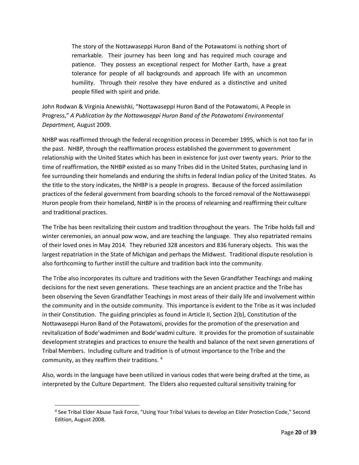The story of the Nottawaseppi Huron Band of the Potawatomi is nothing short of remarkable. Their journey has been long and has required much courage and patience. They possess an exceptional respect for Mother Earth, have a great tolerance for people of all backgrounds and approach life with an uncommon humility. Through their resolve they have endured as a distinctive and united people filled with spirit and pride.

John Rodwan & Virginia Anewishki, "Nottawaseppi Huron Band of the Potawatomi, A People in Progress," *A Publication by the Nottawaseppi Huron Band of the Potawatomi Environmental Department,* August 2009.

NHBP was reaffirmed through the federal recognition process in December 1995, which is not too far in the past. NHBP, through the reaffirmation process established the government to government relationship with the United States which has been in existence for just over twenty years. Prior to the time of reaffirmation, the NHBP existed as so many Tribes did in the United States, purchasing land in fee surrounding their homelands and enduring the shifts in federal Indian policy of the United States. As the title to the story indicates, the NHBP is a people in progress. Because of the forced assimilation practices of the federal government from boarding schools to the forced removal of the Nottawaseppi Huron people from their homeland, NHBP is in the process of relearning and reaffirming their culture and traditional practices.

The Tribe has been revitalizing their custom and tradition throughout the years. The Tribe holds fall and winter ceremonies, an annual pow wow, and are teaching the language. They also repatriated remains of their loved ones in May 2014. They reburied 328 ancestors and 836 funerary objects. This was the largest repatriation in the State of Michigan and perhaps the Midwest. Traditional dispute resolution is also forthcoming to further instill the culture and tradition back into the community.

The Tribe also incorporates its culture and traditions with the Seven Grandfather Teachings and making decisions for the next seven generations. These teachings are an ancient practice and the Tribe has been observing the Seven Grandfather Teachings in most areas of their daily life and involvement within the community and in the outside community. This importance is evident to the Tribe as it was included in their Constitution. The guiding principles as found in Article II, Section 2(b), Constitution of the Nottawaseppi Huron Band of the Potawatomi, provides for the promotion of the preservation and revitalization of Bode'wadmimen and Bode'wadmi culture. It provides for the promotion of sustainable development strategies and practices to ensure the health and balance of the next seven generations of Tribal Members. Including culture and tradition is of utmost importance to the Tribe and the community, as they reaffirm their traditions.  $4$ 

Also, words in the language have been utilized in various codes that were being drafted at the time, as interpreted by the Culture Department. The Elders also requested cultural sensitivity training for

 $\overline{a}$ 

<sup>4</sup> See Tribal Elder Abuse Task Force, "Using Your Tribal Values to develop an Elder Protection Code," Second Edition, August 2008.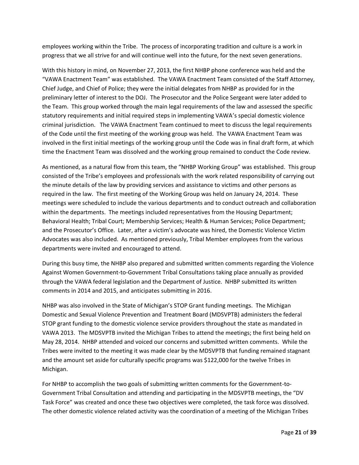employees working within the Tribe. The process of incorporating tradition and culture is a work in progress that we all strive for and will continue well into the future, for the next seven generations.

With this history in mind, on November 27, 2013, the first NHBP phone conference was held and the "VAWA Enactment Team" was established. The VAWA Enactment Team consisted of the Staff Attorney, Chief Judge, and Chief of Police; they were the initial delegates from NHBP as provided for in the preliminary letter of interest to the DOJ. The Prosecutor and the Police Sergeant were later added to the Team. This group worked through the main legal requirements of the law and assessed the specific statutory requirements and initial required steps in implementing VAWA's special domestic violence criminal jurisdiction. The VAWA Enactment Team continued to meet to discuss the legal requirements of the Code until the first meeting of the working group was held. The VAWA Enactment Team was involved in the first initial meetings of the working group until the Code was in final draft form, at which time the Enactment Team was dissolved and the working group remained to conduct the Code review.

As mentioned, as a natural flow from this team, the "NHBP Working Group" was established. This group consisted of the Tribe's employees and professionals with the work related responsibility of carrying out the minute details of the law by providing services and assistance to victims and other persons as required in the law. The first meeting of the Working Group was held on January 24, 2014. These meetings were scheduled to include the various departments and to conduct outreach and collaboration within the departments. The meetings included representatives from the Housing Department; Behavioral Health; Tribal Court; Membership Services; Health & Human Services; Police Department; and the Prosecutor's Office. Later, after a victim's advocate was hired, the Domestic Violence Victim Advocates was also included. As mentioned previously, Tribal Member employees from the various departments were invited and encouraged to attend.

During this busy time, the NHBP also prepared and submitted written comments regarding the Violence Against Women Government-to-Government Tribal Consultations taking place annually as provided through the VAWA federal legislation and the Department of Justice. NHBP submitted its written comments in 2014 and 2015, and anticipates submitting in 2016.

NHBP was also involved in the State of Michigan's STOP Grant funding meetings. The Michigan Domestic and Sexual Violence Prevention and Treatment Board (MDSVPTB) administers the federal STOP grant funding to the domestic violence service providers throughout the state as mandated in VAWA 2013. The MDSVPTB invited the Michigan Tribes to attend the meetings; the first being held on May 28, 2014. NHBP attended and voiced our concerns and submitted written comments. While the Tribes were invited to the meeting it was made clear by the MDSVPTB that funding remained stagnant and the amount set aside for culturally specific programs was \$122,000 for the twelve Tribes in Michigan.

For NHBP to accomplish the two goals of submitting written comments for the Government-to-Government Tribal Consultation and attending and participating in the MDSVPTB meetings, the "DV Task Force" was created and once these two objectives were completed, the task force was dissolved. The other domestic violence related activity was the coordination of a meeting of the Michigan Tribes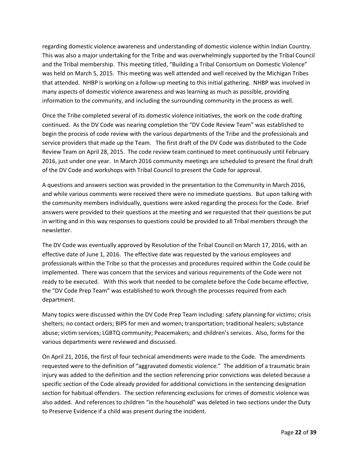regarding domestic violence awareness and understanding of domestic violence within Indian Country. This was also a major undertaking for the Tribe and was overwhelmingly supported by the Tribal Council and the Tribal membership. This meeting titled, "Building a Tribal Consortium on Domestic Violence" was held on March 5, 2015. This meeting was well attended and well received by the Michigan Tribes that attended. NHBP is working on a follow-up meeting to this initial gathering. NHBP was involved in many aspects of domestic violence awareness and was learning as much as possible, providing information to the community, and including the surrounding community in the process as well.

Once the Tribe completed several of its domestic violence initiatives, the work on the code drafting continued. As the DV Code was nearing completion the "DV Code Review Team" was established to begin the process of code review with the various departments of the Tribe and the professionals and service providers that made up the Team. The first draft of the DV Code was distributed to the Code Review Team on April 28, 2015. The code review team continued to meet continuously until February 2016, just under one year. In March 2016 community meetings are scheduled to present the final draft of the DV Code and workshops with Tribal Council to present the Code for approval.

A questions and answers section was provided in the presentation to the Community in March 2016, and while various comments were received there were no immediate questions. But upon talking with the community members individually, questions were asked regarding the process for the Code. Brief answers were provided to their questions at the meeting and we requested that their questions be put in writing and in this way responses to questions could be provided to all Tribal members through the newsletter.

The DV Code was eventually approved by Resolution of the Tribal Council on March 17, 2016, with an effective date of June 1, 2016. The effective date was requested by the various employees and professionals within the Tribe so that the processes and procedures required within the Code could be implemented. There was concern that the services and various requirements of the Code were not ready to be executed. With this work that needed to be complete before the Code became effective, the "DV Code Prep Team" was established to work through the processes required from each department.

Many topics were discussed within the DV Code Prep Team including: safety planning for victims; crisis shelters; no contact orders; BIPS for men and women; transportation; traditional healers; substance abuse; victim services; LGBTQ community; Peacemakers; and children's services. Also, forms for the various departments were reviewed and discussed.

On April 21, 2016, the first of four technical amendments were made to the Code. The amendments requested were to the definition of "aggravated domestic violence." The addition of a traumatic brain injury was added to the definition and the section referencing prior convictions was deleted because a specific section of the Code already provided for additional convictions in the sentencing designation section for habitual offenders. The section referencing exclusions for crimes of domestic violence was also added. And references to children "in the household" was deleted in two sections under the Duty to Preserve Evidence if a child was present during the incident.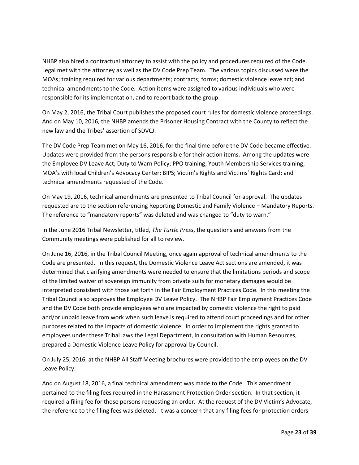NHBP also hired a contractual attorney to assist with the policy and procedures required of the Code. Legal met with the attorney as well as the DV Code Prep Team. The various topics discussed were the MOAs; training required for various departments; contracts; forms; domestic violence leave act; and technical amendments to the Code. Action items were assigned to various individuals who were responsible for its implementation, and to report back to the group.

On May 2, 2016, the Tribal Court publishes the proposed court rules for domestic violence proceedings. And on May 10, 2016, the NHBP amends the Prisoner Housing Contract with the County to reflect the new law and the Tribes' assertion of SDVCJ.

The DV Code Prep Team met on May 16, 2016, for the final time before the DV Code became effective. Updates were provided from the persons responsible for their action items. Among the updates were the Employee DV Leave Act; Duty to Warn Policy; PPO training; Youth Membership Services training; MOA's with local Children's Advocacy Center; BIPS; Victim's Rights and Victims' Rights Card; and technical amendments requested of the Code.

On May 19, 2016, technical amendments are presented to Tribal Council for approval. The updates requested are to the section referencing Reporting Domestic and Family Violence – Mandatory Reports. The reference to "mandatory reports" was deleted and was changed to "duty to warn."

In the June 2016 Tribal Newsletter, titled, *The Turtle Press*, the questions and answers from the Community meetings were published for all to review.

On June 16, 2016, in the Tribal Council Meeting, once again approval of technical amendments to the Code are presented. In this request, the Domestic Violence Leave Act sections are amended, it was determined that clarifying amendments were needed to ensure that the limitations periods and scope of the limited waiver of sovereign immunity from private suits for monetary damages would be interpreted consistent with those set forth in the Fair Employment Practices Code. In this meeting the Tribal Council also approves the Employee DV Leave Policy. The NHBP Fair Employment Practices Code and the DV Code both provide employees who are impacted by domestic violence the right to paid and/or unpaid leave from work when such leave is required to attend court proceedings and for other purposes related to the impacts of domestic violence. In order to implement the rights granted to employees under these Tribal laws the Legal Department, in consultation with Human Resources, prepared a Domestic Violence Leave Policy for approval by Council.

On July 25, 2016, at the NHBP All Staff Meeting brochures were provided to the employees on the DV Leave Policy.

And on August 18, 2016, a final technical amendment was made to the Code. This amendment pertained to the filing fees required in the Harassment Protection Order section. In that section, it required a filing fee for those persons requesting an order. At the request of the DV Victim's Advocate, the reference to the filing fees was deleted. It was a concern that any filing fees for protection orders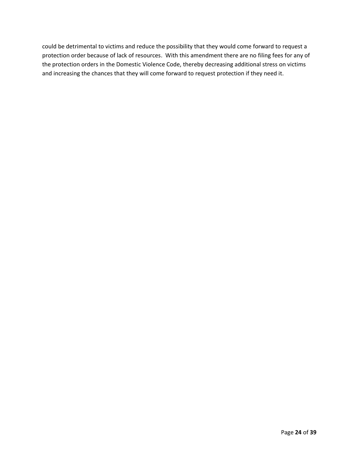could be detrimental to victims and reduce the possibility that they would come forward to request a protection order because of lack of resources. With this amendment there are no filing fees for any of the protection orders in the Domestic Violence Code, thereby decreasing additional stress on victims and increasing the chances that they will come forward to request protection if they need it.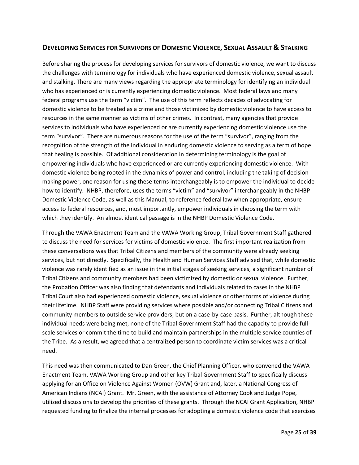### **DEVELOPING SERVICES FOR SURVIVORS OF DOMESTIC VIOLENCE, SEXUAL ASSAULT & STALKING**

Before sharing the process for developing services for survivors of domestic violence, we want to discuss the challenges with terminology for individuals who have experienced domestic violence, sexual assault and stalking. There are many views regarding the appropriate terminology for identifying an individual who has experienced or is currently experiencing domestic violence. Most federal laws and many federal programs use the term "victim". The use of this term reflects decades of advocating for domestic violence to be treated as a crime and those victimized by domestic violence to have access to resources in the same manner as victims of other crimes. In contrast, many agencies that provide services to individuals who have experienced or are currently experiencing domestic violence use the term "survivor". There are numerous reasons for the use of the term "survivor", ranging from the recognition of the strength of the individual in enduring domestic violence to serving as a term of hope that healing is possible. Of additional consideration in determining terminology is the goal of empowering individuals who have experienced or are currently experiencing domestic violence. With domestic violence being rooted in the dynamics of power and control, including the taking of decisionmaking power, one reason for using these terms interchangeably is to empower the individual to decide how to identify. NHBP, therefore, uses the terms "victim" and "survivor" interchangeably in the NHBP Domestic Violence Code, as well as this Manual, to reference federal law when appropriate, ensure access to federal resources, and, most importantly, empower individuals in choosing the term with which they identify. An almost identical passage is in the NHBP Domestic Violence Code.

Through the VAWA Enactment Team and the VAWA Working Group, Tribal Government Staff gathered to discuss the need for services for victims of domestic violence. The first important realization from these conversations was that Tribal Citizens and members of the community were already seeking services, but not directly. Specifically, the Health and Human Services Staff advised that, while domestic violence was rarely identified as an issue in the initial stages of seeking services, a significant number of Tribal Citizens and community members had been victimized by domestic or sexual violence. Further, the Probation Officer was also finding that defendants and individuals related to cases in the NHBP Tribal Court also had experienced domestic violence, sexual violence or other forms of violence during their lifetime. NHBP Staff were providing services where possible and/or connecting Tribal Citizens and community members to outside service providers, but on a case-by-case basis. Further, although these individual needs were being met, none of the Tribal Government Staff had the capacity to provide fullscale services or commit the time to build and maintain partnerships in the multiple service counties of the Tribe. As a result, we agreed that a centralized person to coordinate victim services was a critical need.

This need was then communicated to Dan Green, the Chief Planning Officer, who convened the VAWA Enactment Team, VAWA Working Group and other key Tribal Government Staff to specifically discuss applying for an Office on Violence Against Women (OVW) Grant and, later, a National Congress of American Indians (NCAI) Grant. Mr. Green, with the assistance of Attorney Cook and Judge Pope, utilized discussions to develop the priorities of these grants. Through the NCAI Grant Application, NHBP requested funding to finalize the internal processes for adopting a domestic violence code that exercises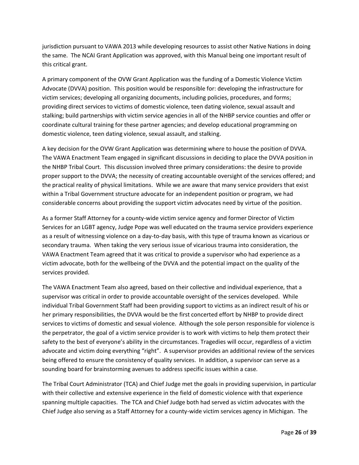jurisdiction pursuant to VAWA 2013 while developing resources to assist other Native Nations in doing the same. The NCAI Grant Application was approved, with this Manual being one important result of this critical grant.

A primary component of the OVW Grant Application was the funding of a Domestic Violence Victim Advocate (DVVA) position. This position would be responsible for: developing the infrastructure for victim services; developing all organizing documents, including policies, procedures, and forms; providing direct services to victims of domestic violence, teen dating violence, sexual assault and stalking; build partnerships with victim service agencies in all of the NHBP service counties and offer or coordinate cultural training for these partner agencies; and develop educational programming on domestic violence, teen dating violence, sexual assault, and stalking.

A key decision for the OVW Grant Application was determining where to house the position of DVVA. The VAWA Enactment Team engaged in significant discussions in deciding to place the DVVA position in the NHBP Tribal Court. This discussion involved three primary considerations: the desire to provide proper support to the DVVA; the necessity of creating accountable oversight of the services offered; and the practical reality of physical limitations. While we are aware that many service providers that exist within a Tribal Government structure advocate for an independent position or program, we had considerable concerns about providing the support victim advocates need by virtue of the position.

As a former Staff Attorney for a county-wide victim service agency and former Director of Victim Services for an LGBT agency, Judge Pope was well educated on the trauma service providers experience as a result of witnessing violence on a day-to-day basis, with this type of trauma known as vicarious or secondary trauma. When taking the very serious issue of vicarious trauma into consideration, the VAWA Enactment Team agreed that it was critical to provide a supervisor who had experience as a victim advocate, both for the wellbeing of the DVVA and the potential impact on the quality of the services provided.

The VAWA Enactment Team also agreed, based on their collective and individual experience, that a supervisor was critical in order to provide accountable oversight of the services developed. While individual Tribal Government Staff had been providing support to victims as an indirect result of his or her primary responsibilities, the DVVA would be the first concerted effort by NHBP to provide direct services to victims of domestic and sexual violence. Although the sole person responsible for violence is the perpetrator, the goal of a victim service provider is to work with victims to help them protect their safety to the best of everyone's ability in the circumstances. Tragedies will occur, regardless of a victim advocate and victim doing everything "right". A supervisor provides an additional review of the services being offered to ensure the consistency of quality services. In addition, a supervisor can serve as a sounding board for brainstorming avenues to address specific issues within a case.

The Tribal Court Administrator (TCA) and Chief Judge met the goals in providing supervision, in particular with their collective and extensive experience in the field of domestic violence with that experience spanning multiple capacities. The TCA and Chief Judge both had served as victim advocates with the Chief Judge also serving as a Staff Attorney for a county-wide victim services agency in Michigan. The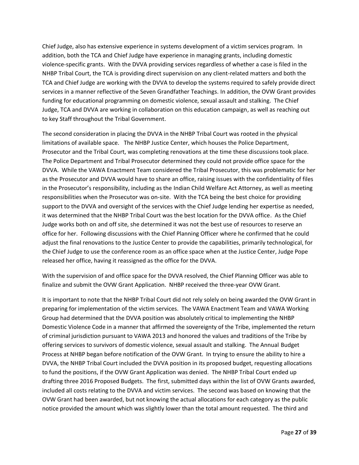Chief Judge, also has extensive experience in systems development of a victim services program. In addition, both the TCA and Chief Judge have experience in managing grants, including domestic violence-specific grants. With the DVVA providing services regardless of whether a case is filed in the NHBP Tribal Court, the TCA is providing direct supervision on any client-related matters and both the TCA and Chief Judge are working with the DVVA to develop the systems required to safely provide direct services in a manner reflective of the Seven Grandfather Teachings. In addition, the OVW Grant provides funding for educational programming on domestic violence, sexual assault and stalking. The Chief Judge, TCA and DVVA are working in collaboration on this education campaign, as well as reaching out to key Staff throughout the Tribal Government.

The second consideration in placing the DVVA in the NHBP Tribal Court was rooted in the physical limitations of available space. The NHBP Justice Center, which houses the Police Department, Prosecutor and the Tribal Court, was completing renovations at the time these discussions took place. The Police Department and Tribal Prosecutor determined they could not provide office space for the DVVA. While the VAWA Enactment Team considered the Tribal Prosecutor, this was problematic for her as the Prosecutor and DVVA would have to share an office, raising issues with the confidentiality of files in the Prosecutor's responsibility, including as the Indian Child Welfare Act Attorney, as well as meeting responsibilities when the Prosecutor was on-site. With the TCA being the best choice for providing support to the DVVA and oversight of the services with the Chief Judge lending her expertise as needed, it was determined that the NHBP Tribal Court was the best location for the DVVA office. As the Chief Judge works both on and off site, she determined it was not the best use of resources to reserve an office for her. Following discussions with the Chief Planning Officer where he confirmed that he could adjust the final renovations to the Justice Center to provide the capabilities, primarily technological, for the Chief Judge to use the conference room as an office space when at the Justice Center, Judge Pope released her office, having it reassigned as the office for the DVVA.

With the supervision of and office space for the DVVA resolved, the Chief Planning Officer was able to finalize and submit the OVW Grant Application. NHBP received the three-year OVW Grant.

It is important to note that the NHBP Tribal Court did not rely solely on being awarded the OVW Grant in preparing for implementation of the victim services. The VAWA Enactment Team and VAWA Working Group had determined that the DVVA position was absolutely critical to implementing the NHBP Domestic Violence Code in a manner that affirmed the sovereignty of the Tribe, implemented the return of criminal jurisdiction pursuant to VAWA 2013 and honored the values and traditions of the Tribe by offering services to survivors of domestic violence, sexual assault and stalking. The Annual Budget Process at NHBP began before notification of the OVW Grant. In trying to ensure the ability to hire a DVVA, the NHBP Tribal Court included the DVVA position in its proposed budget, requesting allocations to fund the positions, if the OVW Grant Application was denied. The NHBP Tribal Court ended up drafting three 2016 Proposed Budgets. The first, submitted days within the list of OVW Grants awarded, included all costs relating to the DVVA and victim services. The second was based on knowing that the OVW Grant had been awarded, but not knowing the actual allocations for each category as the public notice provided the amount which was slightly lower than the total amount requested. The third and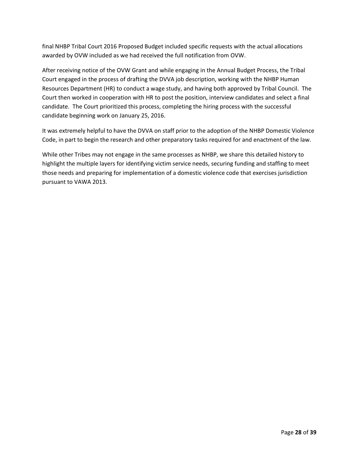final NHBP Tribal Court 2016 Proposed Budget included specific requests with the actual allocations awarded by OVW included as we had received the full notification from OVW.

After receiving notice of the OVW Grant and while engaging in the Annual Budget Process, the Tribal Court engaged in the process of drafting the DVVA job description, working with the NHBP Human Resources Department (HR) to conduct a wage study, and having both approved by Tribal Council. The Court then worked in cooperation with HR to post the position, interview candidates and select a final candidate. The Court prioritized this process, completing the hiring process with the successful candidate beginning work on January 25, 2016.

It was extremely helpful to have the DVVA on staff prior to the adoption of the NHBP Domestic Violence Code, in part to begin the research and other preparatory tasks required for and enactment of the law.

While other Tribes may not engage in the same processes as NHBP, we share this detailed history to highlight the multiple layers for identifying victim service needs, securing funding and staffing to meet those needs and preparing for implementation of a domestic violence code that exercises jurisdiction pursuant to VAWA 2013.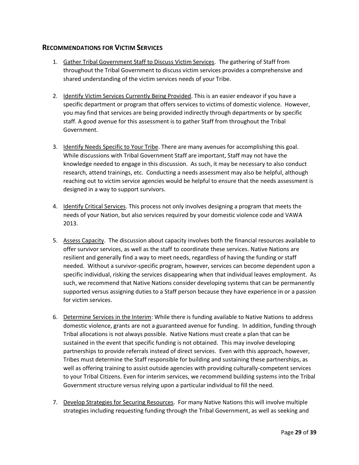#### **RECOMMENDATIONS FOR VICTIM SERVICES**

- 1. Gather Tribal Government Staff to Discuss Victim Services. The gathering of Staff from throughout the Tribal Government to discuss victim services provides a comprehensive and shared understanding of the victim services needs of your Tribe.
- 2. Identify Victim Services Currently Being Provided. This is an easier endeavor if you have a specific department or program that offers services to victims of domestic violence. However, you may find that services are being provided indirectly through departments or by specific staff. A good avenue for this assessment is to gather Staff from throughout the Tribal Government.
- 3. Identify Needs Specific to Your Tribe. There are many avenues for accomplishing this goal. While discussions with Tribal Government Staff are important, Staff may not have the knowledge needed to engage in this discussion. As such, it may be necessary to also conduct research, attend trainings, etc. Conducting a needs assessment may also be helpful, although reaching out to victim service agencies would be helpful to ensure that the needs assessment is designed in a way to support survivors.
- 4. Identify Critical Services. This process not only involves designing a program that meets the needs of your Nation, but also services required by your domestic violence code and VAWA 2013.
- 5. Assess Capacity. The discussion about capacity involves both the financial resources available to offer survivor services, as well as the staff to coordinate these services. Native Nations are resilient and generally find a way to meet needs, regardless of having the funding or staff needed. Without a survivor-specific program, however, services can become dependent upon a specific individual, risking the services disappearing when that individual leaves employment. As such, we recommend that Native Nations consider developing systems that can be permanently supported versus assigning duties to a Staff person because they have experience in or a passion for victim services.
- 6. Determine Services in the Interim: While there is funding available to Native Nations to address domestic violence, grants are not a guaranteed avenue for funding. In addition, funding through Tribal allocations is not always possible. Native Nations must create a plan that can be sustained in the event that specific funding is not obtained. This may involve developing partnerships to provide referrals instead of direct services. Even with this approach, however, Tribes must determine the Staff responsible for building and sustaining these partnerships, as well as offering training to assist outside agencies with providing culturally-competent services to your Tribal Citizens. Even for interim services, we recommend building systems into the Tribal Government structure versus relying upon a particular individual to fill the need.
- 7. Develop Strategies for Securing Resources. For many Native Nations this will involve multiple strategies including requesting funding through the Tribal Government, as well as seeking and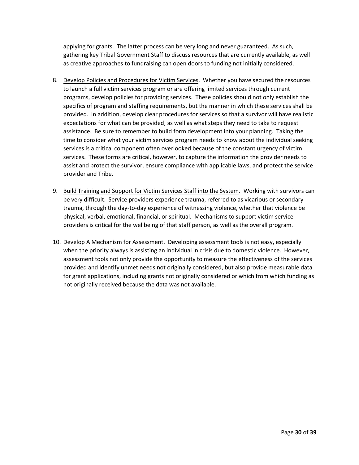applying for grants. The latter process can be very long and never guaranteed. As such, gathering key Tribal Government Staff to discuss resources that are currently available, as well as creative approaches to fundraising can open doors to funding not initially considered.

- 8. Develop Policies and Procedures for Victim Services. Whether you have secured the resources to launch a full victim services program or are offering limited services through current programs, develop policies for providing services. These policies should not only establish the specifics of program and staffing requirements, but the manner in which these services shall be provided. In addition, develop clear procedures for services so that a survivor will have realistic expectations for what can be provided, as well as what steps they need to take to request assistance. Be sure to remember to build form development into your planning. Taking the time to consider what your victim services program needs to know about the individual seeking services is a critical component often overlooked because of the constant urgency of victim services. These forms are critical, however, to capture the information the provider needs to assist and protect the survivor, ensure compliance with applicable laws, and protect the service provider and Tribe.
- 9. Build Training and Support for Victim Services Staff into the System. Working with survivors can be very difficult. Service providers experience trauma, referred to as vicarious or secondary trauma, through the day-to-day experience of witnessing violence, whether that violence be physical, verbal, emotional, financial, or spiritual. Mechanisms to support victim service providers is critical for the wellbeing of that staff person, as well as the overall program.
- 10. Develop A Mechanism for Assessment. Developing assessment tools is not easy, especially when the priority always is assisting an individual in crisis due to domestic violence. However, assessment tools not only provide the opportunity to measure the effectiveness of the services provided and identify unmet needs not originally considered, but also provide measurable data for grant applications, including grants not originally considered or which from which funding as not originally received because the data was not available.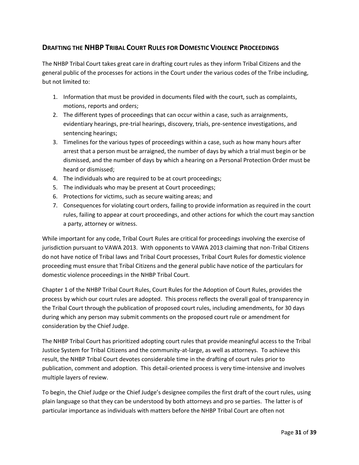### **DRAFTING THE NHBP TRIBAL COURT RULES FOR DOMESTIC VIOLENCE PROCEEDINGS**

The NHBP Tribal Court takes great care in drafting court rules as they inform Tribal Citizens and the general public of the processes for actions in the Court under the various codes of the Tribe including, but not limited to:

- 1. Information that must be provided in documents filed with the court, such as complaints, motions, reports and orders;
- 2. The different types of proceedings that can occur within a case, such as arraignments, evidentiary hearings, pre-trial hearings, discovery, trials, pre-sentence investigations, and sentencing hearings;
- 3. Timelines for the various types of proceedings within a case, such as how many hours after arrest that a person must be arraigned, the number of days by which a trial must begin or be dismissed, and the number of days by which a hearing on a Personal Protection Order must be heard or dismissed;
- 4. The individuals who are required to be at court proceedings;
- 5. The individuals who may be present at Court proceedings;
- 6. Protections for victims, such as secure waiting areas; and
- 7. Consequences for violating court orders, failing to provide information as required in the court rules, failing to appear at court proceedings, and other actions for which the court may sanction a party, attorney or witness.

While important for any code, Tribal Court Rules are critical for proceedings involving the exercise of jurisdiction pursuant to VAWA 2013. With opponents to VAWA 2013 claiming that non-Tribal Citizens do not have notice of Tribal laws and Tribal Court processes, Tribal Court Rules for domestic violence proceeding must ensure that Tribal Citizens and the general public have notice of the particulars for domestic violence proceedings in the NHBP Tribal Court.

Chapter 1 of the NHBP Tribal Court Rules, Court Rules for the Adoption of Court Rules, provides the process by which our court rules are adopted. This process reflects the overall goal of transparency in the Tribal Court through the publication of proposed court rules, including amendments, for 30 days during which any person may submit comments on the proposed court rule or amendment for consideration by the Chief Judge.

The NHBP Tribal Court has prioritized adopting court rules that provide meaningful access to the Tribal Justice System for Tribal Citizens and the community-at-large, as well as attorneys. To achieve this result, the NHBP Tribal Court devotes considerable time in the drafting of court rules prior to publication, comment and adoption. This detail-oriented process is very time-intensive and involves multiple layers of review.

To begin, the Chief Judge or the Chief Judge's designee compiles the first draft of the court rules, using plain language so that they can be understood by both attorneys and pro se parties. The latter is of particular importance as individuals with matters before the NHBP Tribal Court are often not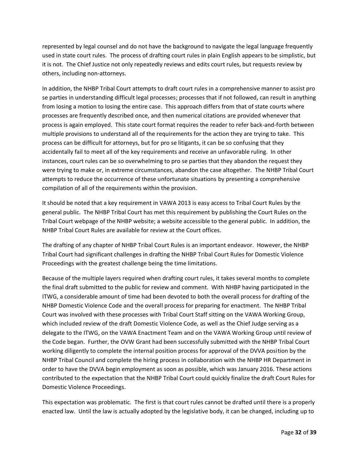represented by legal counsel and do not have the background to navigate the legal language frequently used in state court rules. The process of drafting court rules in plain English appears to be simplistic, but it is not. The Chief Justice not only repeatedly reviews and edits court rules, but requests review by others, including non-attorneys.

In addition, the NHBP Tribal Court attempts to draft court rules in a comprehensive manner to assist pro se parties in understanding difficult legal processes; processes that if not followed, can result in anything from losing a motion to losing the entire case. This approach differs from that of state courts where processes are frequently described once, and then numerical citations are provided whenever that process is again employed. This state court format requires the reader to refer back-and-forth between multiple provisions to understand all of the requirements for the action they are trying to take. This process can be difficult for attorneys, but for pro se litigants, it can be so confusing that they accidentally fail to meet all of the key requirements and receive an unfavorable ruling. In other instances, court rules can be so overwhelming to pro se parties that they abandon the request they were trying to make or, in extreme circumstances, abandon the case altogether. The NHBP Tribal Court attempts to reduce the occurrence of these unfortunate situations by presenting a comprehensive compilation of all of the requirements within the provision.

It should be noted that a key requirement in VAWA 2013 is easy access to Tribal Court Rules by the general public. The NHBP Tribal Court has met this requirement by publishing the Court Rules on the Tribal Court webpage of the NHBP website; a website accessible to the general public. In addition, the NHBP Tribal Court Rules are available for review at the Court offices.

The drafting of any chapter of NHBP Tribal Court Rules is an important endeavor. However, the NHBP Tribal Court had significant challenges in drafting the NHBP Tribal Court Rules for Domestic Violence Proceedings with the greatest challenge being the time limitations.

Because of the multiple layers required when drafting court rules, it takes several months to complete the final draft submitted to the public for review and comment. With NHBP having participated in the ITWG, a considerable amount of time had been devoted to both the overall process for drafting of the NHBP Domestic Violence Code and the overall process for preparing for enactment. The NHBP Tribal Court was involved with these processes with Tribal Court Staff sitting on the VAWA Working Group, which included review of the draft Domestic Violence Code, as well as the Chief Judge serving as a delegate to the ITWG, on the VAWA Enactment Team and on the VAWA Working Group until review of the Code began. Further, the OVW Grant had been successfully submitted with the NHBP Tribal Court working diligently to complete the internal position process for approval of the DVVA position by the NHBP Tribal Council and complete the hiring process in collaboration with the NHBP HR Department in order to have the DVVA begin employment as soon as possible, which was January 2016. These actions contributed to the expectation that the NHBP Tribal Court could quickly finalize the draft Court Rules for Domestic Violence Proceedings.

This expectation was problematic. The first is that court rules cannot be drafted until there is a properly enacted law. Until the law is actually adopted by the legislative body, it can be changed, including up to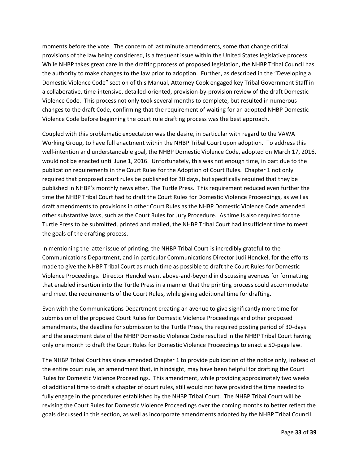moments before the vote. The concern of last minute amendments, some that change critical provisions of the law being considered, is a frequent issue within the United States legislative process. While NHBP takes great care in the drafting process of proposed legislation, the NHBP Tribal Council has the authority to make changes to the law prior to adoption. Further, as described in the "Developing a Domestic Violence Code" section of this Manual, Attorney Cook engaged key Tribal Government Staff in a collaborative, time-intensive, detailed-oriented, provision-by-provision review of the draft Domestic Violence Code. This process not only took several months to complete, but resulted in numerous changes to the draft Code, confirming that the requirement of waiting for an adopted NHBP Domestic Violence Code before beginning the court rule drafting process was the best approach.

Coupled with this problematic expectation was the desire, in particular with regard to the VAWA Working Group, to have full enactment within the NHBP Tribal Court upon adoption. To address this well-intention and understandable goal, the NHBP Domestic Violence Code, adopted on March 17, 2016, would not be enacted until June 1, 2016. Unfortunately, this was not enough time, in part due to the publication requirements in the Court Rules for the Adoption of Court Rules. Chapter 1 not only required that proposed court rules be published for 30 days, but specifically required that they be published in NHBP's monthly newsletter, The Turtle Press. This requirement reduced even further the time the NHBP Tribal Court had to draft the Court Rules for Domestic Violence Proceedings, as well as draft amendments to provisions in other Court Rules as the NHBP Domestic Violence Code amended other substantive laws, such as the Court Rules for Jury Procedure. As time is also required for the Turtle Press to be submitted, printed and mailed, the NHBP Tribal Court had insufficient time to meet the goals of the drafting process.

In mentioning the latter issue of printing, the NHBP Tribal Court is incredibly grateful to the Communications Department, and in particular Communications Director Judi Henckel, for the efforts made to give the NHBP Tribal Court as much time as possible to draft the Court Rules for Domestic Violence Proceedings. Director Henckel went above-and-beyond in discussing avenues for formatting that enabled insertion into the Turtle Press in a manner that the printing process could accommodate and meet the requirements of the Court Rules, while giving additional time for drafting.

Even with the Communications Department creating an avenue to give significantly more time for submission of the proposed Court Rules for Domestic Violence Proceedings and other proposed amendments, the deadline for submission to the Turtle Press, the required posting period of 30-days and the enactment date of the NHBP Domestic Violence Code resulted in the NHBP Tribal Court having only one month to draft the Court Rules for Domestic Violence Proceedings to enact a 50-page law.

The NHBP Tribal Court has since amended Chapter 1 to provide publication of the notice only, instead of the entire court rule, an amendment that, in hindsight, may have been helpful for drafting the Court Rules for Domestic Violence Proceedings. This amendment, while providing approximately two weeks of additional time to draft a chapter of court rules, still would not have provided the time needed to fully engage in the procedures established by the NHBP Tribal Court. The NHBP Tribal Court will be revising the Court Rules for Domestic Violence Proceedings over the coming months to better reflect the goals discussed in this section, as well as incorporate amendments adopted by the NHBP Tribal Council.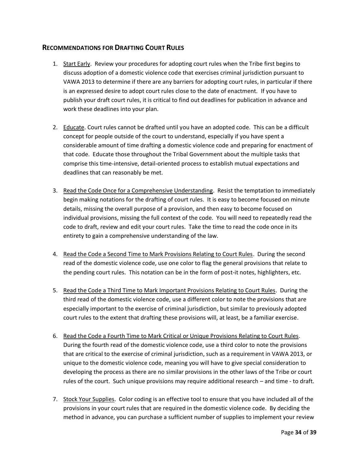#### **RECOMMENDATIONS FOR DRAFTING COURT RULES**

- 1. Start Early. Review your procedures for adopting court rules when the Tribe first begins to discuss adoption of a domestic violence code that exercises criminal jurisdiction pursuant to VAWA 2013 to determine if there are any barriers for adopting court rules, in particular if there is an expressed desire to adopt court rules close to the date of enactment. If you have to publish your draft court rules, it is critical to find out deadlines for publication in advance and work these deadlines into your plan.
- 2. Educate. Court rules cannot be drafted until you have an adopted code. This can be a difficult concept for people outside of the court to understand, especially if you have spent a considerable amount of time drafting a domestic violence code and preparing for enactment of that code. Educate those throughout the Tribal Government about the multiple tasks that comprise this time-intensive, detail-oriented process to establish mutual expectations and deadlines that can reasonably be met.
- 3. Read the Code Once for a Comprehensive Understanding. Resist the temptation to immediately begin making notations for the drafting of court rules. It is easy to become focused on minute details, missing the overall purpose of a provision, and then easy to become focused on individual provisions, missing the full context of the code. You will need to repeatedly read the code to draft, review and edit your court rules. Take the time to read the code once in its entirety to gain a comprehensive understanding of the law.
- 4. Read the Code a Second Time to Mark Provisions Relating to Court Rules. During the second read of the domestic violence code, use one color to flag the general provisions that relate to the pending court rules. This notation can be in the form of post-it notes, highlighters, etc.
- 5. Read the Code a Third Time to Mark Important Provisions Relating to Court Rules. During the third read of the domestic violence code, use a different color to note the provisions that are especially important to the exercise of criminal jurisdiction, but similar to previously adopted court rules to the extent that drafting these provisions will, at least, be a familiar exercise.
- 6. Read the Code a Fourth Time to Mark Critical or Unique Provisions Relating to Court Rules. During the fourth read of the domestic violence code, use a third color to note the provisions that are critical to the exercise of criminal jurisdiction, such as a requirement in VAWA 2013, or unique to the domestic violence code, meaning you will have to give special consideration to developing the process as there are no similar provisions in the other laws of the Tribe or court rules of the court. Such unique provisions may require additional research – and time - to draft.
- 7. Stock Your Supplies. Color coding is an effective tool to ensure that you have included all of the provisions in your court rules that are required in the domestic violence code. By deciding the method in advance, you can purchase a sufficient number of supplies to implement your review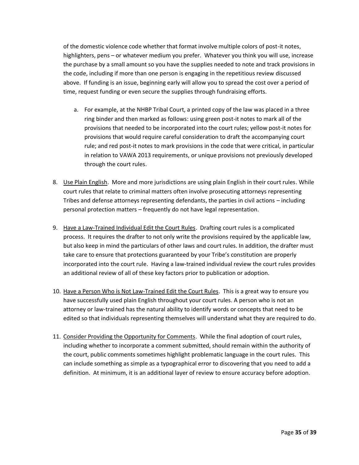of the domestic violence code whether that format involve multiple colors of post-it notes, highlighters, pens – or whatever medium you prefer. Whatever you think you will use, increase the purchase by a small amount so you have the supplies needed to note and track provisions in the code, including if more than one person is engaging in the repetitious review discussed above. If funding is an issue, beginning early will allow you to spread the cost over a period of time, request funding or even secure the supplies through fundraising efforts.

- a. For example, at the NHBP Tribal Court, a printed copy of the law was placed in a three ring binder and then marked as follows: using green post-it notes to mark all of the provisions that needed to be incorporated into the court rules; yellow post-it notes for provisions that would require careful consideration to draft the accompanying court rule; and red post-it notes to mark provisions in the code that were critical, in particular in relation to VAWA 2013 requirements, or unique provisions not previously developed through the court rules.
- 8. Use Plain English. More and more jurisdictions are using plain English in their court rules. While court rules that relate to criminal matters often involve prosecuting attorneys representing Tribes and defense attorneys representing defendants, the parties in civil actions – including personal protection matters – frequently do not have legal representation.
- 9. Have a Law-Trained Individual Edit the Court Rules. Drafting court rules is a complicated process. It requires the drafter to not only write the provisions required by the applicable law, but also keep in mind the particulars of other laws and court rules. In addition, the drafter must take care to ensure that protections guaranteed by your Tribe's constitution are properly incorporated into the court rule. Having a law-trained individual review the court rules provides an additional review of all of these key factors prior to publication or adoption.
- 10. Have a Person Who is Not Law-Trained Edit the Court Rules. This is a great way to ensure you have successfully used plain English throughout your court rules. A person who is not an attorney or law-trained has the natural ability to identify words or concepts that need to be edited so that individuals representing themselves will understand what they are required to do.
- 11. Consider Providing the Opportunity for Comments. While the final adoption of court rules, including whether to incorporate a comment submitted, should remain within the authority of the court, public comments sometimes highlight problematic language in the court rules. This can include something as simple as a typographical error to discovering that you need to add a definition. At minimum, it is an additional layer of review to ensure accuracy before adoption.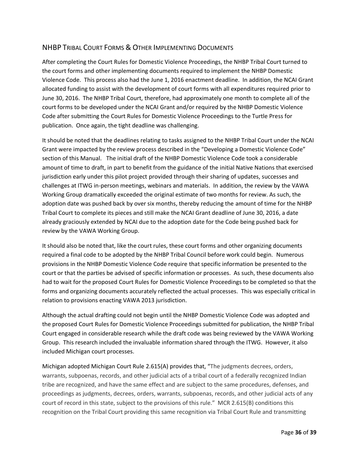### NHBP TRIBAL COURT FORMS & OTHER IMPLEMENTING DOCUMENTS

After completing the Court Rules for Domestic Violence Proceedings, the NHBP Tribal Court turned to the court forms and other implementing documents required to implement the NHBP Domestic Violence Code. This process also had the June 1, 2016 enactment deadline. In addition, the NCAI Grant allocated funding to assist with the development of court forms with all expenditures required prior to June 30, 2016. The NHBP Tribal Court, therefore, had approximately one month to complete all of the court forms to be developed under the NCAI Grant and/or required by the NHBP Domestic Violence Code after submitting the Court Rules for Domestic Violence Proceedings to the Turtle Press for publication. Once again, the tight deadline was challenging.

It should be noted that the deadlines relating to tasks assigned to the NHBP Tribal Court under the NCAI Grant were impacted by the review process described in the "Developing a Domestic Violence Code" section of this Manual. The initial draft of the NHBP Domestic Violence Code took a considerable amount of time to draft, in part to benefit from the guidance of the initial Native Nations that exercised jurisdiction early under this pilot project provided through their sharing of updates, successes and challenges at ITWG in-person meetings, webinars and materials. In addition, the review by the VAWA Working Group dramatically exceeded the original estimate of two months for review. As such, the adoption date was pushed back by over six months, thereby reducing the amount of time for the NHBP Tribal Court to complete its pieces and still make the NCAI Grant deadline of June 30, 2016, a date already graciously extended by NCAI due to the adoption date for the Code being pushed back for review by the VAWA Working Group.

It should also be noted that, like the court rules, these court forms and other organizing documents required a final code to be adopted by the NHBP Tribal Council before work could begin. Numerous provisions in the NHBP Domestic Violence Code require that specific information be presented to the court or that the parties be advised of specific information or processes. As such, these documents also had to wait for the proposed Court Rules for Domestic Violence Proceedings to be completed so that the forms and organizing documents accurately reflected the actual processes. This was especially critical in relation to provisions enacting VAWA 2013 jurisdiction.

Although the actual drafting could not begin until the NHBP Domestic Violence Code was adopted and the proposed Court Rules for Domestic Violence Proceedings submitted for publication, the NHBP Tribal Court engaged in considerable research while the draft code was being reviewed by the VAWA Working Group. This research included the invaluable information shared through the ITWG. However, it also included Michigan court processes.

Michigan adopted Michigan Court Rule 2.615(A) provides that, "The judgments decrees, orders, warrants, subpoenas, records, and other judicial acts of a tribal court of a federally recognized Indian tribe are recognized, and have the same effect and are subject to the same procedures, defenses, and proceedings as judgments, decrees, orders, warrants, subpoenas, records, and other judicial acts of any court of record in this state, subject to the provisions of this rule." MCR 2.615(B) conditions this recognition on the Tribal Court providing this same recognition via Tribal Court Rule and transmitting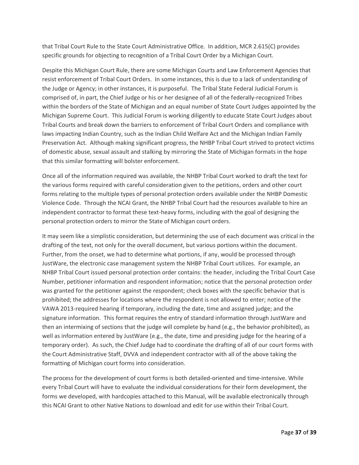that Tribal Court Rule to the State Court Administrative Office. In addition, MCR 2.615(C) provides specific grounds for objecting to recognition of a Tribal Court Order by a Michigan Court.

Despite this Michigan Court Rule, there are some Michigan Courts and Law Enforcement Agencies that resist enforcement of Tribal Court Orders. In some instances, this is due to a lack of understanding of the Judge or Agency; in other instances, it is purposeful. The Tribal State Federal Judicial Forum is comprised of, in part, the Chief Judge or his or her designee of all of the federally-recognized Tribes within the borders of the State of Michigan and an equal number of State Court Judges appointed by the Michigan Supreme Court. This Judicial Forum is working diligently to educate State Court Judges about Tribal Courts and break down the barriers to enforcement of Tribal Court Orders and compliance with laws impacting Indian Country, such as the Indian Child Welfare Act and the Michigan Indian Family Preservation Act. Although making significant progress, the NHBP Tribal Court strived to protect victims of domestic abuse, sexual assault and stalking by mirroring the State of Michigan formats in the hope that this similar formatting will bolster enforcement.

Once all of the information required was available, the NHBP Tribal Court worked to draft the text for the various forms required with careful consideration given to the petitions, orders and other court forms relating to the multiple types of personal protection orders available under the NHBP Domestic Violence Code. Through the NCAI Grant, the NHBP Tribal Court had the resources available to hire an independent contractor to format these text-heavy forms, including with the goal of designing the personal protection orders to mirror the State of Michigan court orders.

It may seem like a simplistic consideration, but determining the use of each document was critical in the drafting of the text, not only for the overall document, but various portions within the document. Further, from the onset, we had to determine what portions, if any, would be processed through JustWare, the electronic case management system the NHBP Tribal Court utilizes. For example, an NHBP Tribal Court issued personal protection order contains: the header, including the Tribal Court Case Number, petitioner information and respondent information; notice that the personal protection order was granted for the petitioner against the respondent; check boxes with the specific behavior that is prohibited; the addresses for locations where the respondent is not allowed to enter; notice of the VAWA 2013-required hearing if temporary, including the date, time and assigned judge; and the signature information. This format requires the entry of standard information through JustWare and then an intermixing of sections that the judge will complete by hand (e.g., the behavior prohibited), as well as information entered by JustWare (e.g., the date, time and presiding judge for the hearing of a temporary order). As such, the Chief Judge had to coordinate the drafting of all of our court forms with the Court Administrative Staff, DVVA and independent contractor with all of the above taking the formatting of Michigan court forms into consideration.

The process for the development of court forms is both detailed-oriented and time-intensive. While every Tribal Court will have to evaluate the individual considerations for their form development, the forms we developed, with hardcopies attached to this Manual, will be available electronically through this NCAI Grant to other Native Nations to download and edit for use within their Tribal Court.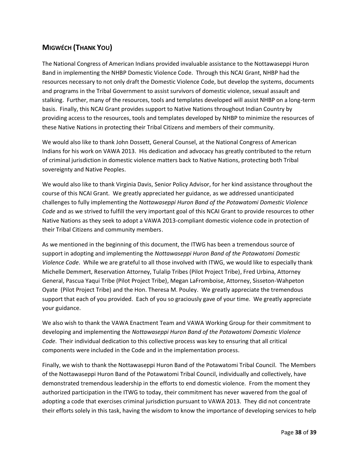## **MIGWÉCH (THANK YOU)**

The National Congress of American Indians provided invaluable assistance to the Nottawaseppi Huron Band in implementing the NHBP Domestic Violence Code. Through this NCAI Grant, NHBP had the resources necessary to not only draft the Domestic Violence Code, but develop the systems, documents and programs in the Tribal Government to assist survivors of domestic violence, sexual assault and stalking. Further, many of the resources, tools and templates developed will assist NHBP on a long-term basis. Finally, this NCAI Grant provides support to Native Nations throughout Indian Country by providing access to the resources, tools and templates developed by NHBP to minimize the resources of these Native Nations in protecting their Tribal Citizens and members of their community.

We would also like to thank John Dossett, General Counsel, at the National Congress of American Indians for his work on VAWA 2013. His dedication and advocacy has greatly contributed to the return of criminal jurisdiction in domestic violence matters back to Native Nations, protecting both Tribal sovereignty and Native Peoples.

We would also like to thank Virginia Davis, Senior Policy Advisor, for her kind assistance throughout the course of this NCAI Grant. We greatly appreciated her guidance, as we addressed unanticipated challenges to fully implementing the *Nottawaseppi Huron Band of the Potawatomi Domestic Violence Code* and as we strived to fulfill the very important goal of this NCAI Grant to provide resources to other Native Nations as they seek to adopt a VAWA 2013-compliant domestic violence code in protection of their Tribal Citizens and community members.

As we mentioned in the beginning of this document, the ITWG has been a tremendous source of support in adopting and implementing the *Nottawaseppi Huron Band of the Potawatomi Domestic Violence Code*. While we are grateful to all those involved with ITWG, we would like to especially thank Michelle Demmert, Reservation Attorney, Tulalip Tribes (Pilot Project Tribe), Fred Urbina, Attorney General, Pascua Yaqui Tribe (Pilot Project Tribe), Megan LaFromboise, Attorney, Sisseton-Wahpeton Oyate (Pilot Project Tribe) and the Hon. Theresa M. Pouley. We greatly appreciate the tremendous support that each of you provided. Each of you so graciously gave of your time. We greatly appreciate your guidance.

We also wish to thank the VAWA Enactment Team and VAWA Working Group for their commitment to developing and implementing the *Nottawaseppi Huron Band of the Potawatomi Domestic Violence Code*. Their individual dedication to this collective process was key to ensuring that all critical components were included in the Code and in the implementation process.

Finally, we wish to thank the Nottawaseppi Huron Band of the Potawatomi Tribal Council. The Members of the Nottawaseppi Huron Band of the Potawatomi Tribal Council, individually and collectively, have demonstrated tremendous leadership in the efforts to end domestic violence. From the moment they authorized participation in the ITWG to today, their commitment has never wavered from the goal of adopting a code that exercises criminal jurisdiction pursuant to VAWA 2013. They did not concentrate their efforts solely in this task, having the wisdom to know the importance of developing services to help